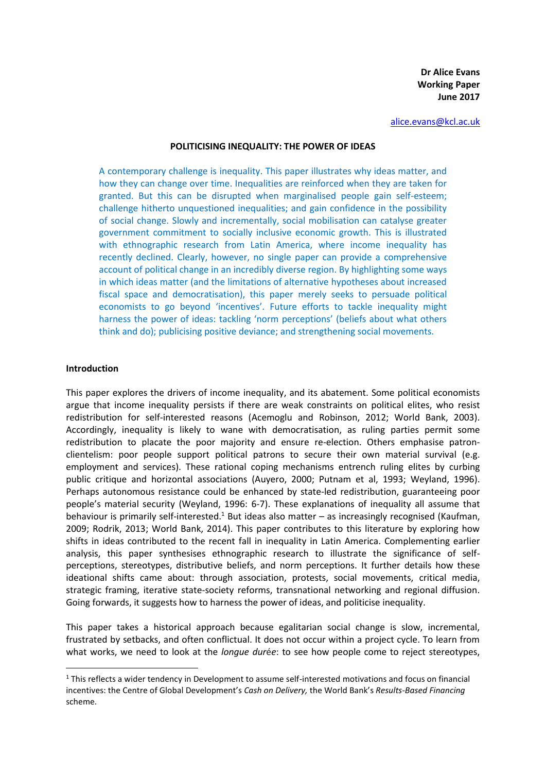**Dr Alice Evans Working Paper June 2017**

[alice.evans@kcl.ac.uk](mailto:alice.evans@kcl.ac.uk)

#### **POLITICISING INEQUALITY: THE POWER OF IDEAS**

A contemporary challenge is inequality. This paper illustrates why ideas matter, and how they can change over time. Inequalities are reinforced when they are taken for granted. But this can be disrupted when marginalised people gain self-esteem; challenge hitherto unquestioned inequalities; and gain confidence in the possibility of social change. Slowly and incrementally, social mobilisation can catalyse greater government commitment to socially inclusive economic growth. This is illustrated with ethnographic research from Latin America, where income inequality has recently declined. Clearly, however, no single paper can provide a comprehensive account of political change in an incredibly diverse region. By highlighting some ways in which ideas matter (and the limitations of alternative hypotheses about increased fiscal space and democratisation), this paper merely seeks to persuade political economists to go beyond 'incentives'. Future efforts to tackle inequality might harness the power of ideas: tackling 'norm perceptions' (beliefs about what others think and do); publicising positive deviance; and strengthening social movements.

#### **Introduction**

<u>.</u>

This paper explores the drivers of income inequality, and its abatement. Some political economists argue that income inequality persists if there are weak constraints on political elites, who resist redistribution for self-interested reasons (Acemoglu and Robinson, 2012; World Bank, 2003). Accordingly, inequality is likely to wane with democratisation, as ruling parties permit some redistribution to placate the poor majority and ensure re-election. Others emphasise patronclientelism: poor people support political patrons to secure their own material survival (e.g. employment and services). These rational coping mechanisms entrench ruling elites by curbing public critique and horizontal associations (Auyero, 2000; Putnam et al, 1993; Weyland, 1996). Perhaps autonomous resistance could be enhanced by state-led redistribution, guaranteeing poor people's material security (Weyland, 1996: 6-7). These explanations of inequality all assume that behaviour is primarily self-interested.<sup>1</sup> But ideas also matter – as increasingly recognised (Kaufman, 2009; Rodrik, 2013; World Bank, 2014). This paper contributes to this literature by exploring how shifts in ideas contributed to the recent fall in inequality in Latin America. Complementing earlier analysis, this paper synthesises ethnographic research to illustrate the significance of selfperceptions, stereotypes, distributive beliefs, and norm perceptions. It further details how these ideational shifts came about: through association, protests, social movements, critical media, strategic framing, iterative state-society reforms, transnational networking and regional diffusion. Going forwards, it suggests how to harness the power of ideas, and politicise inequality.

This paper takes a historical approach because egalitarian social change is slow, incremental, frustrated by setbacks, and often conflictual. It does not occur within a project cycle. To learn from what works, we need to look at the *longue dur*é*e*: to see how people come to reject stereotypes,

 $1$  This reflects a wider tendency in Development to assume self-interested motivations and focus on financial incentives: the Centre of Global Development's *Cash on Delivery,* the World Bank's *Results-Based Financing* scheme.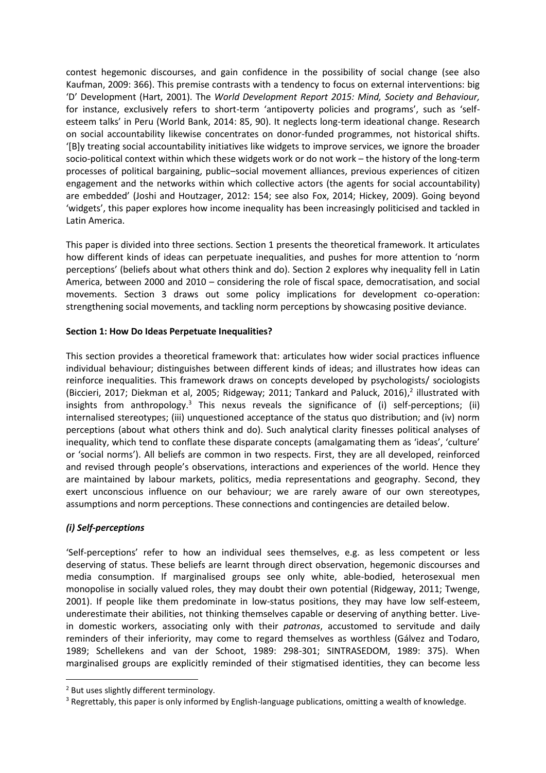contest hegemonic discourses, and gain confidence in the possibility of social change (see also Kaufman, 2009: 366). This premise contrasts with a tendency to focus on external interventions: big 'D' Development (Hart, 2001). The *World Development Report 2015: Mind, Society and Behaviour,*  for instance, exclusively refers to short-term 'antipoverty policies and programs', such as 'selfesteem talks' in Peru (World Bank, 2014: 85, 90). It neglects long-term ideational change. Research on social accountability likewise concentrates on donor-funded programmes, not historical shifts. '[B]y treating social accountability initiatives like widgets to improve services, we ignore the broader socio-political context within which these widgets work or do not work – the history of the long-term processes of political bargaining, public–social movement alliances, previous experiences of citizen engagement and the networks within which collective actors (the agents for social accountability) are embedded' (Joshi and Houtzager, 2012: 154; see also Fox, 2014; Hickey, 2009). Going beyond 'widgets', this paper explores how income inequality has been increasingly politicised and tackled in Latin America.

This paper is divided into three sections. Section 1 presents the theoretical framework. It articulates how different kinds of ideas can perpetuate inequalities, and pushes for more attention to 'norm perceptions' (beliefs about what others think and do). Section 2 explores why inequality fell in Latin America, between 2000 and 2010 – considering the role of fiscal space, democratisation, and social movements. Section 3 draws out some policy implications for development co-operation: strengthening social movements, and tackling norm perceptions by showcasing positive deviance.

## **Section 1: How Do Ideas Perpetuate Inequalities?**

This section provides a theoretical framework that: articulates how wider social practices influence individual behaviour; distinguishes between different kinds of ideas; and illustrates how ideas can reinforce inequalities. This framework draws on concepts developed by psychologists/ sociologists (Biccieri, 2017; Diekman et al, 2005; Ridgeway; 2011; Tankard and Paluck, 2016), 2 illustrated with insights from anthropology.<sup>3</sup> This nexus reveals the significance of (i) self-perceptions; (ii) internalised stereotypes; (iii) unquestioned acceptance of the status quo distribution; and (iv) norm perceptions (about what others think and do). Such analytical clarity finesses political analyses of inequality, which tend to conflate these disparate concepts (amalgamating them as 'ideas', 'culture' or 'social norms'). All beliefs are common in two respects. First, they are all developed, reinforced and revised through people's observations, interactions and experiences of the world. Hence they are maintained by labour markets, politics, media representations and geography. Second, they exert unconscious influence on our behaviour; we are rarely aware of our own stereotypes, assumptions and norm perceptions. These connections and contingencies are detailed below.

# *(i) Self-perceptions*

-

'Self-perceptions' refer to how an individual sees themselves, e.g. as less competent or less deserving of status. These beliefs are learnt through direct observation, hegemonic discourses and media consumption. If marginalised groups see only white, able-bodied, heterosexual men monopolise in socially valued roles, they may doubt their own potential (Ridgeway, 2011; Twenge, 2001). If people like them predominate in low-status positions, they may have low self-esteem, underestimate their abilities, not thinking themselves capable or deserving of anything better. Livein domestic workers, associating only with their *patronas*, accustomed to servitude and daily reminders of their inferiority, may come to regard themselves as worthless (Gálvez and Todaro, 1989; Schellekens and van der Schoot, 1989: 298-301; SINTRASEDOM, 1989: 375). When marginalised groups are explicitly reminded of their stigmatised identities, they can become less

<sup>2</sup> But uses slightly different terminology.

<sup>&</sup>lt;sup>3</sup> Regrettably, this paper is only informed by English-language publications, omitting a wealth of knowledge.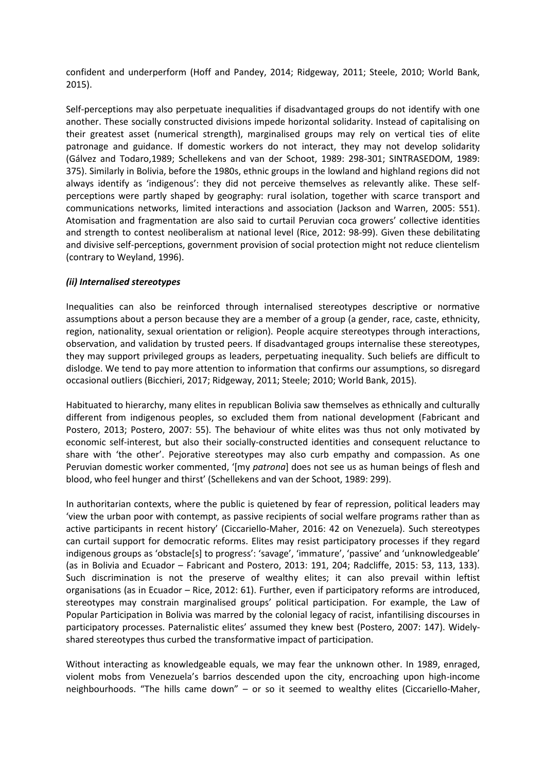confident and underperform (Hoff and Pandey, 2014; Ridgeway, 2011; Steele, 2010; World Bank, 2015).

Self-perceptions may also perpetuate inequalities if disadvantaged groups do not identify with one another. These socially constructed divisions impede horizontal solidarity. Instead of capitalising on their greatest asset (numerical strength), marginalised groups may rely on vertical ties of elite patronage and guidance. If domestic workers do not interact, they may not develop solidarity (Gálvez and Todaro,1989; Schellekens and van der Schoot, 1989: 298-301; SINTRASEDOM, 1989: 375). Similarly in Bolivia, before the 1980s, ethnic groups in the lowland and highland regions did not always identify as 'indigenous': they did not perceive themselves as relevantly alike. These selfperceptions were partly shaped by geography: rural isolation, together with scarce transport and communications networks, limited interactions and association (Jackson and Warren, 2005: 551). Atomisation and fragmentation are also said to curtail Peruvian coca growers' collective identities and strength to contest neoliberalism at national level (Rice, 2012: 98-99). Given these debilitating and divisive self-perceptions, government provision of social protection might not reduce clientelism (contrary to Weyland, 1996).

## *(ii) Internalised stereotypes*

Inequalities can also be reinforced through internalised stereotypes descriptive or normative assumptions about a person because they are a member of a group (a gender, race, caste, ethnicity, region, nationality, sexual orientation or religion). People acquire stereotypes through interactions, observation, and validation by trusted peers. If disadvantaged groups internalise these stereotypes, they may support privileged groups as leaders, perpetuating inequality. Such beliefs are difficult to dislodge. We tend to pay more attention to information that confirms our assumptions, so disregard occasional outliers (Bicchieri, 2017; Ridgeway, 2011; Steele; 2010; World Bank, 2015).

Habituated to hierarchy, many elites in republican Bolivia saw themselves as ethnically and culturally different from indigenous peoples, so excluded them from national development (Fabricant and Postero, 2013; Postero, 2007: 55). The behaviour of white elites was thus not only motivated by economic self-interest, but also their socially-constructed identities and consequent reluctance to share with 'the other'. Pejorative stereotypes may also curb empathy and compassion. As one Peruvian domestic worker commented, '[my *patrona*] does not see us as human beings of flesh and blood, who feel hunger and thirst' (Schellekens and van der Schoot, 1989: 299).

In authoritarian contexts, where the public is quietened by fear of repression, political leaders may 'view the urban poor with contempt, as passive recipients of social welfare programs rather than as active participants in recent history' (Ciccariello-Maher, 2016: 42 on Venezuela). Such stereotypes can curtail support for democratic reforms. Elites may resist participatory processes if they regard indigenous groups as 'obstacle[s] to progress': 'savage', 'immature', 'passive' and 'unknowledgeable' (as in Bolivia and Ecuador – Fabricant and Postero, 2013: 191, 204; Radcliffe, 2015: 53, 113, 133). Such discrimination is not the preserve of wealthy elites; it can also prevail within leftist organisations (as in Ecuador – Rice, 2012: 61). Further, even if participatory reforms are introduced, stereotypes may constrain marginalised groups' political participation. For example, the Law of Popular Participation in Bolivia was marred by the colonial legacy of racist, infantilising discourses in participatory processes. Paternalistic elites' assumed they knew best (Postero, 2007: 147). Widelyshared stereotypes thus curbed the transformative impact of participation.

Without interacting as knowledgeable equals, we may fear the unknown other. In 1989, enraged, violent mobs from Venezuela's barrios descended upon the city, encroaching upon high-income neighbourhoods. "The hills came down" – or so it seemed to wealthy elites (Ciccariello-Maher,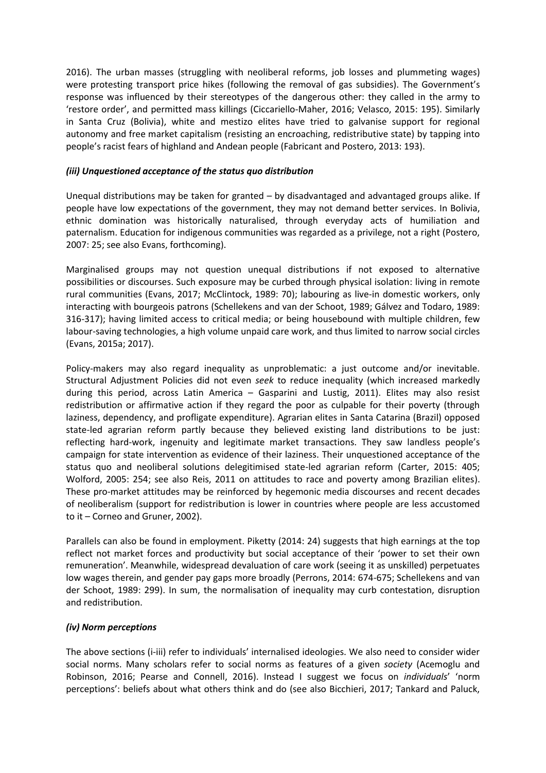2016). The urban masses (struggling with neoliberal reforms, job losses and plummeting wages) were protesting transport price hikes (following the removal of gas subsidies). The Government's response was influenced by their stereotypes of the dangerous other: they called in the army to 'restore order', and permitted mass killings (Ciccariello-Maher, 2016; Velasco, 2015: 195). Similarly in Santa Cruz (Bolivia), white and mestizo elites have tried to galvanise support for regional autonomy and free market capitalism (resisting an encroaching, redistributive state) by tapping into people's racist fears of highland and Andean people (Fabricant and Postero, 2013: 193).

## *(iii) Unquestioned acceptance of the status quo distribution*

Unequal distributions may be taken for granted – by disadvantaged and advantaged groups alike. If people have low expectations of the government, they may not demand better services. In Bolivia, ethnic domination was historically naturalised, through everyday acts of humiliation and paternalism. Education for indigenous communities was regarded as a privilege, not a right (Postero, 2007: 25; see also Evans, forthcoming).

Marginalised groups may not question unequal distributions if not exposed to alternative possibilities or discourses. Such exposure may be curbed through physical isolation: living in remote rural communities (Evans, 2017; McClintock, 1989: 70); labouring as live-in domestic workers, only interacting with bourgeois patrons (Schellekens and van der Schoot, 1989; Gálvez and Todaro, 1989: 316-317); having limited access to critical media; or being housebound with multiple children, few labour-saving technologies, a high volume unpaid care work, and thus limited to narrow social circles (Evans, 2015a; 2017).

Policy-makers may also regard inequality as unproblematic: a just outcome and/or inevitable. Structural Adjustment Policies did not even *seek* to reduce inequality (which increased markedly during this period, across Latin America – Gasparini and Lustig, 2011). Elites may also resist redistribution or affirmative action if they regard the poor as culpable for their poverty (through laziness, dependency, and profligate expenditure). Agrarian elites in Santa Catarina (Brazil) opposed state-led agrarian reform partly because they believed existing land distributions to be just: reflecting hard-work, ingenuity and legitimate market transactions. They saw landless people's campaign for state intervention as evidence of their laziness. Their unquestioned acceptance of the status quo and neoliberal solutions delegitimised state-led agrarian reform (Carter, 2015: 405; Wolford, 2005: 254; see also Reis, 2011 on attitudes to race and poverty among Brazilian elites). These pro-market attitudes may be reinforced by hegemonic media discourses and recent decades of neoliberalism (support for redistribution is lower in countries where people are less accustomed to it – Corneo and Gruner, 2002).

Parallels can also be found in employment. Piketty (2014: 24) suggests that high earnings at the top reflect not market forces and productivity but social acceptance of their 'power to set their own remuneration'. Meanwhile, widespread devaluation of care work (seeing it as unskilled) perpetuates low wages therein, and gender pay gaps more broadly (Perrons, 2014: 674-675; Schellekens and van der Schoot, 1989: 299). In sum, the normalisation of inequality may curb contestation, disruption and redistribution.

## *(iv) Norm perceptions*

The above sections (i-iii) refer to individuals' internalised ideologies. We also need to consider wider social norms. Many scholars refer to social norms as features of a given *society* (Acemoglu and Robinson, 2016; Pearse and Connell, 2016). Instead I suggest we focus on *individuals*' 'norm perceptions': beliefs about what others think and do (see also Bicchieri, 2017; Tankard and Paluck,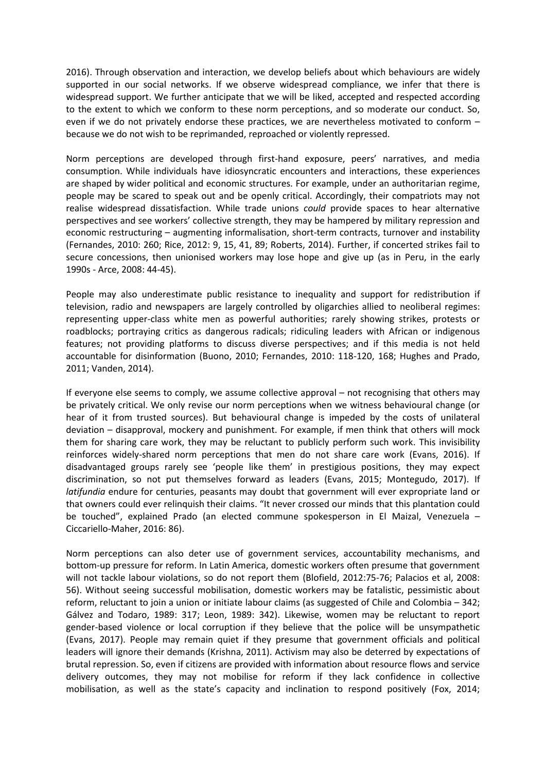2016). Through observation and interaction, we develop beliefs about which behaviours are widely supported in our social networks. If we observe widespread compliance, we infer that there is widespread support. We further anticipate that we will be liked, accepted and respected according to the extent to which we conform to these norm perceptions, and so moderate our conduct. So, even if we do not privately endorse these practices, we are nevertheless motivated to conform – because we do not wish to be reprimanded, reproached or violently repressed.

Norm perceptions are developed through first-hand exposure, peers' narratives, and media consumption. While individuals have idiosyncratic encounters and interactions, these experiences are shaped by wider political and economic structures. For example, under an authoritarian regime, people may be scared to speak out and be openly critical. Accordingly, their compatriots may not realise widespread dissatisfaction. While trade unions *could* provide spaces to hear alternative perspectives and see workers' collective strength, they may be hampered by military repression and economic restructuring – augmenting informalisation, short-term contracts, turnover and instability (Fernandes, 2010: 260; Rice, 2012: 9, 15, 41, 89; Roberts, 2014). Further, if concerted strikes fail to secure concessions, then unionised workers may lose hope and give up (as in Peru, in the early 1990s - Arce, 2008: 44-45).

People may also underestimate public resistance to inequality and support for redistribution if television, radio and newspapers are largely controlled by oligarchies allied to neoliberal regimes: representing upper-class white men as powerful authorities; rarely showing strikes, protests or roadblocks; portraying critics as dangerous radicals; ridiculing leaders with African or indigenous features; not providing platforms to discuss diverse perspectives; and if this media is not held accountable for disinformation (Buono, 2010; Fernandes, 2010: 118-120, 168; Hughes and Prado, 2011; Vanden, 2014).

If everyone else seems to comply, we assume collective approval – not recognising that others may be privately critical. We only revise our norm perceptions when we witness behavioural change (or hear of it from trusted sources). But behavioural change is impeded by the costs of unilateral deviation – disapproval, mockery and punishment. For example, if men think that others will mock them for sharing care work, they may be reluctant to publicly perform such work. This invisibility reinforces widely-shared norm perceptions that men do not share care work (Evans, 2016). If disadvantaged groups rarely see 'people like them' in prestigious positions, they may expect discrimination, so not put themselves forward as leaders (Evans, 2015; Montegudo, 2017). If *latifundia* endure for centuries, peasants may doubt that government will ever expropriate land or that owners could ever relinquish their claims. "It never crossed our minds that this plantation could be touched", explained Prado (an elected commune spokesperson in El Maizal, Venezuela – Ciccariello-Maher, 2016: 86).

Norm perceptions can also deter use of government services, accountability mechanisms, and bottom-up pressure for reform. In Latin America, domestic workers often presume that government will not tackle labour violations, so do not report them (Blofield, 2012:75-76; Palacios et al, 2008: 56). Without seeing successful mobilisation, domestic workers may be fatalistic, pessimistic about reform, reluctant to join a union or initiate labour claims (as suggested of Chile and Colombia – 342; Gálvez and Todaro, 1989: 317; Leon, 1989: 342). Likewise, women may be reluctant to report gender-based violence or local corruption if they believe that the police will be unsympathetic (Evans, 2017). People may remain quiet if they presume that government officials and political leaders will ignore their demands (Krishna, 2011). Activism may also be deterred by expectations of brutal repression. So, even if citizens are provided with information about resource flows and service delivery outcomes, they may not mobilise for reform if they lack confidence in collective mobilisation, as well as the state's capacity and inclination to respond positively (Fox, 2014;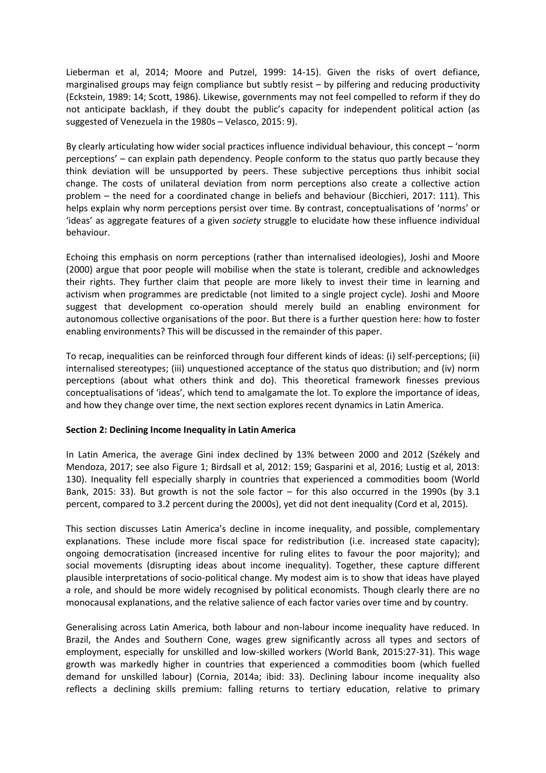Lieberman et al, 2014; Moore and Putzel, 1999: 14-15). Given the risks of overt defiance, marginalised groups may feign compliance but subtly resist – by pilfering and reducing productivity (Eckstein, 1989: 14; Scott, 1986). Likewise, governments may not feel compelled to reform if they do not anticipate backlash, if they doubt the public's capacity for independent political action (as suggested of Venezuela in the 1980s – Velasco, 2015: 9).

By clearly articulating how wider social practices influence individual behaviour, this concept – 'norm perceptions' – can explain path dependency. People conform to the status quo partly because they think deviation will be unsupported by peers. These subjective perceptions thus inhibit social change. The costs of unilateral deviation from norm perceptions also create a collective action problem – the need for a coordinated change in beliefs and behaviour (Bicchieri, 2017: 111). This helps explain why norm perceptions persist over time. By contrast, conceptualisations of 'norms' or 'ideas' as aggregate features of a given *society* struggle to elucidate how these influence individual behaviour.

Echoing this emphasis on norm perceptions (rather than internalised ideologies), Joshi and Moore (2000) argue that poor people will mobilise when the state is tolerant, credible and acknowledges their rights. They further claim that people are more likely to invest their time in learning and activism when programmes are predictable (not limited to a single project cycle). Joshi and Moore suggest that development co-operation should merely build an enabling environment for autonomous collective organisations of the poor. But there is a further question here: how to foster enabling environments? This will be discussed in the remainder of this paper.

To recap, inequalities can be reinforced through four different kinds of ideas: (i) self-perceptions; (ii) internalised stereotypes; (iii) unquestioned acceptance of the status quo distribution; and (iv) norm perceptions (about what others think and do). This theoretical framework finesses previous conceptualisations of 'ideas', which tend to amalgamate the lot. To explore the importance of ideas, and how they change over time, the next section explores recent dynamics in Latin America.

## **Section 2: Declining Income Inequality in Latin America**

In Latin America, the average Gini index declined by 13% between 2000 and 2012 (Székely and Mendoza, 2017; see also Figure 1; Birdsall et al, 2012: 159; Gasparini et al, 2016; Lustig et al, 2013: 130). Inequality fell especially sharply in countries that experienced a commodities boom (World Bank, 2015: 33). But growth is not the sole factor – for this also occurred in the 1990s (by 3.1 percent, compared to 3.2 percent during the 2000s), yet did not dent inequality (Cord et al, 2015).

This section discusses Latin America's decline in income inequality, and possible, complementary explanations. These include more fiscal space for redistribution (i.e. increased state capacity); ongoing democratisation (increased incentive for ruling elites to favour the poor majority); and social movements (disrupting ideas about income inequality). Together, these capture different plausible interpretations of socio-political change. My modest aim is to show that ideas have played a role, and should be more widely recognised by political economists. Though clearly there are no monocausal explanations, and the relative salience of each factor varies over time and by country.

Generalising across Latin America, both labour and non-labour income inequality have reduced. In Brazil, the Andes and Southern Cone, wages grew significantly across all types and sectors of employment, especially for unskilled and low-skilled workers (World Bank, 2015:27-31). This wage growth was markedly higher in countries that experienced a commodities boom (which fuelled demand for unskilled labour) (Cornia, 2014a; ibid: 33). Declining labour income inequality also reflects a declining skills premium: falling returns to tertiary education, relative to primary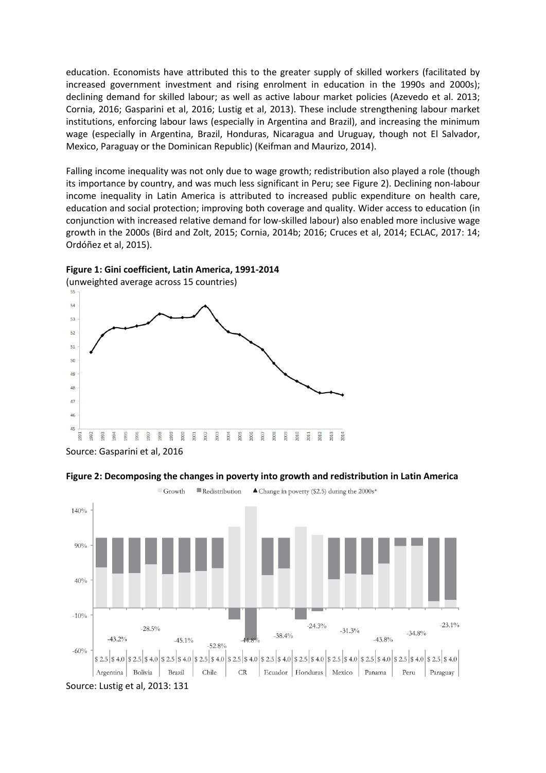education. Economists have attributed this to the greater supply of skilled workers (facilitated by increased government investment and rising enrolment in education in the 1990s and 2000s); declining demand for skilled labour; as well as active labour market policies (Azevedo et al. 2013; Cornia, 2016; Gasparini et al, 2016; Lustig et al, 2013). These include strengthening labour market institutions, enforcing labour laws (especially in Argentina and Brazil), and increasing the minimum wage (especially in Argentina, Brazil, Honduras, Nicaragua and Uruguay, though not El Salvador, Mexico, Paraguay or the Dominican Republic) (Keifman and Maurizo, 2014).

Falling income inequality was not only due to wage growth; redistribution also played a role (though its importance by country, and was much less significant in Peru; see Figure 2). Declining non-labour income inequality in Latin America is attributed to increased public expenditure on health care, education and social protection; improving both coverage and quality. Wider access to education (in conjunction with increased relative demand for low-skilled labour) also enabled more inclusive wage growth in the 2000s (Bird and Zolt, 2015; Cornia, 2014b; 2016; Cruces et al, 2014; ECLAC, 2017: 14; Ordóñez et al, 2015).



**Figure 1: Gini coefficient, Latin America, 1991-2014**

Source: Gasparini et al, 2016



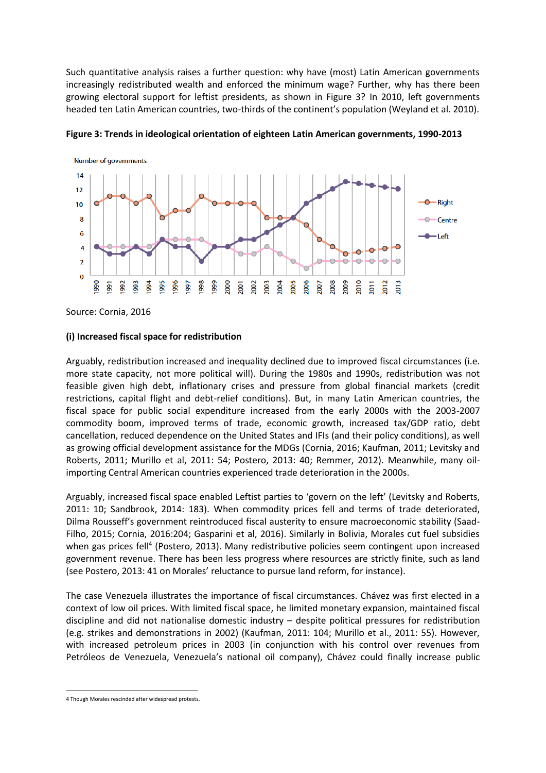Such quantitative analysis raises a further question: why have (most) Latin American governments increasingly redistributed wealth and enforced the minimum wage? Further, why has there been growing electoral support for leftist presidents, as shown in Figure 3? In 2010, left governments headed ten Latin American countries, two-thirds of the continent's population (Weyland et al. 2010).





Source: Cornia, 2016

### **(i) Increased fiscal space for redistribution**

Arguably, redistribution increased and inequality declined due to improved fiscal circumstances (i.e. more state capacity, not more political will). During the 1980s and 1990s, redistribution was not feasible given high debt, inflationary crises and pressure from global financial markets (credit restrictions, capital flight and debt-relief conditions). But, in many Latin American countries, the fiscal space for public social expenditure increased from the early 2000s with the 2003-2007 commodity boom, improved terms of trade, economic growth, increased tax/GDP ratio, debt cancellation, reduced dependence on the United States and IFIs (and their policy conditions), as well as growing official development assistance for the MDGs (Cornia, 2016; Kaufman, 2011; Levitsky and Roberts, 2011; Murillo et al, 2011: 54; Postero, 2013: 40; Remmer, 2012). Meanwhile, many oilimporting Central American countries experienced trade deterioration in the 2000s.

Arguably, increased fiscal space enabled Leftist parties to 'govern on the left' (Levitsky and Roberts, 2011: 10; Sandbrook, 2014: 183). When commodity prices fell and terms of trade deteriorated, Dilma Rousseff's government reintroduced fiscal austerity to ensure macroeconomic stability (Saad-Filho, 2015; Cornia, 2016:204; Gasparini et al, 2016). Similarly in Bolivia, Morales cut fuel subsidies when gas prices fell<sup>4</sup> (Postero, 2013). Many redistributive policies seem contingent upon increased government revenue. There has been less progress where resources are strictly finite, such as land (see Postero, 2013: 41 on Morales' reluctance to pursue land reform, for instance).

The case Venezuela illustrates the importance of fiscal circumstances. Chávez was first elected in a context of low oil prices. With limited fiscal space, he limited monetary expansion, maintained fiscal discipline and did not nationalise domestic industry – despite political pressures for redistribution (e.g. strikes and demonstrations in 2002) (Kaufman, 2011: 104; Murillo et al., 2011: 55). However, with increased petroleum prices in 2003 (in conjunction with his control over revenues from Petróleos de Venezuela, Venezuela's national oil company), Chávez could finally increase public

<sup>&</sup>lt;u>.</u> 4 Though Morales rescinded after widespread protests.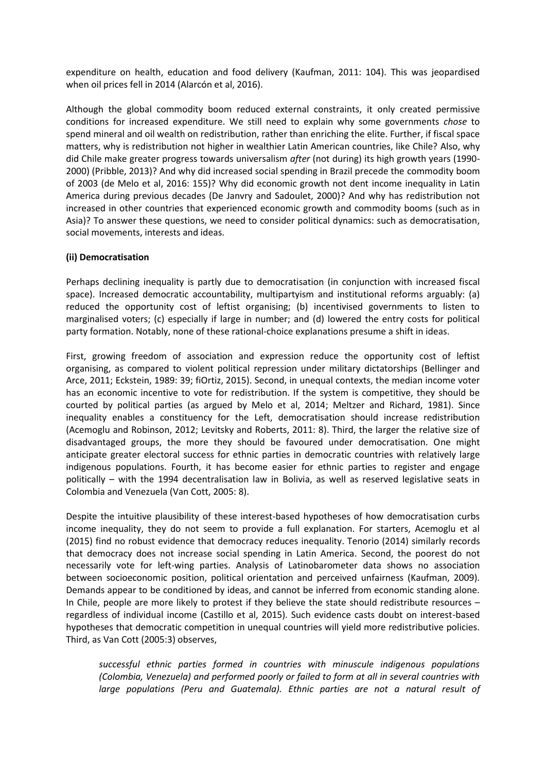expenditure on health, education and food delivery (Kaufman, 2011: 104). This was jeopardised when oil prices fell in 2014 (Alarcón et al, 2016).

Although the global commodity boom reduced external constraints, it only created permissive conditions for increased expenditure. We still need to explain why some governments *chose* to spend mineral and oil wealth on redistribution, rather than enriching the elite. Further, if fiscal space matters, why is redistribution not higher in wealthier Latin American countries, like Chile? Also, why did Chile make greater progress towards universalism *after* (not during) its high growth years (1990- 2000) (Pribble, 2013)? And why did increased social spending in Brazil precede the commodity boom of 2003 (de Melo et al, 2016: 155)? Why did economic growth not dent income inequality in Latin America during previous decades (De Janvry and Sadoulet, 2000)? And why has redistribution not increased in other countries that experienced economic growth and commodity booms (such as in Asia)? To answer these questions, we need to consider political dynamics: such as democratisation, social movements, interests and ideas.

## **(ii) Democratisation**

Perhaps declining inequality is partly due to democratisation (in conjunction with increased fiscal space). Increased democratic accountability, multipartyism and institutional reforms arguably: (a) reduced the opportunity cost of leftist organising; (b) incentivised governments to listen to marginalised voters; (c) especially if large in number; and (d) lowered the entry costs for political party formation. Notably, none of these rational-choice explanations presume a shift in ideas.

First, growing freedom of association and expression reduce the opportunity cost of leftist organising, as compared to violent political repression under military dictatorships (Bellinger and Arce, 2011; Eckstein, 1989: 39; fiOrtiz, 2015). Second, in unequal contexts, the median income voter has an economic incentive to vote for redistribution. If the system is competitive, they should be courted by political parties (as argued by Melo et al, 2014; Meltzer and Richard, 1981). Since inequality enables a constituency for the Left, democratisation should increase redistribution (Acemoglu and Robinson, 2012; Levitsky and Roberts, 2011: 8). Third, the larger the relative size of disadvantaged groups, the more they should be favoured under democratisation. One might anticipate greater electoral success for ethnic parties in democratic countries with relatively large indigenous populations. Fourth, it has become easier for ethnic parties to register and engage politically – with the 1994 decentralisation law in Bolivia, as well as reserved legislative seats in Colombia and Venezuela (Van Cott, 2005: 8).

Despite the intuitive plausibility of these interest-based hypotheses of how democratisation curbs income inequality, they do not seem to provide a full explanation. For starters, Acemoglu et al (2015) find no robust evidence that democracy reduces inequality. Tenorio (2014) similarly records that democracy does not increase social spending in Latin America. Second, the poorest do not necessarily vote for left-wing parties. Analysis of Latinobarometer data shows no association between socioeconomic position, political orientation and perceived unfairness (Kaufman, 2009). Demands appear to be conditioned by ideas, and cannot be inferred from economic standing alone. In Chile, people are more likely to protest if they believe the state should redistribute resources – regardless of individual income (Castillo et al, 2015). Such evidence casts doubt on interest-based hypotheses that democratic competition in unequal countries will yield more redistributive policies. Third, as Van Cott (2005:3) observes,

*successful ethnic parties formed in countries with minuscule indigenous populations (Colombia, Venezuela) and performed poorly or failed to form at all in several countries with*  large populations (Peru and Guatemala). Ethnic parties are not a natural result of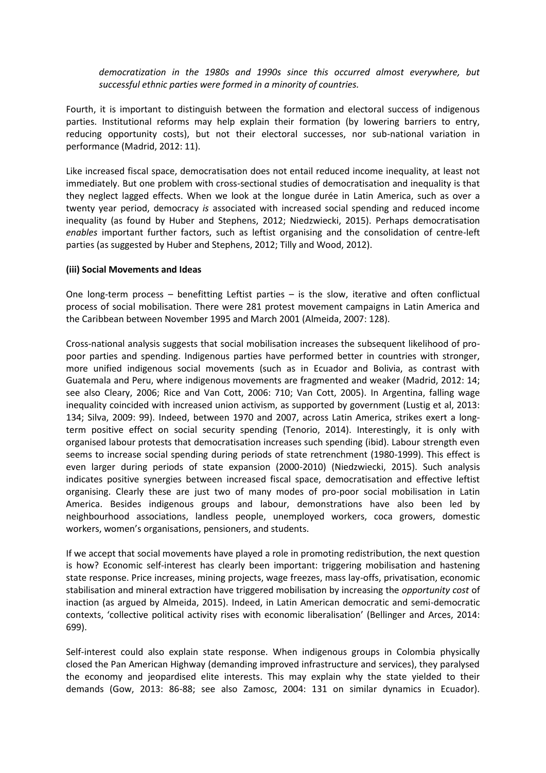*democratization in the 1980s and 1990s since this occurred almost everywhere, but successful ethnic parties were formed in a minority of countries.* 

Fourth, it is important to distinguish between the formation and electoral success of indigenous parties. Institutional reforms may help explain their formation (by lowering barriers to entry, reducing opportunity costs), but not their electoral successes, nor sub-national variation in performance (Madrid, 2012: 11).

Like increased fiscal space, democratisation does not entail reduced income inequality, at least not immediately. But one problem with cross-sectional studies of democratisation and inequality is that they neglect lagged effects. When we look at the longue durée in Latin America, such as over a twenty year period, democracy *is* associated with increased social spending and reduced income inequality (as found by Huber and Stephens, 2012; Niedzwiecki, 2015). Perhaps democratisation *enables* important further factors, such as leftist organising and the consolidation of centre-left parties (as suggested by Huber and Stephens, 2012; Tilly and Wood, 2012).

### **(iii) Social Movements and Ideas**

One long-term process – benefitting Leftist parties – is the slow, iterative and often conflictual process of social mobilisation. There were 281 protest movement campaigns in Latin America and the Caribbean between November 1995 and March 2001 (Almeida, 2007: 128).

Cross-national analysis suggests that social mobilisation increases the subsequent likelihood of propoor parties and spending. Indigenous parties have performed better in countries with stronger, more unified indigenous social movements (such as in Ecuador and Bolivia, as contrast with Guatemala and Peru, where indigenous movements are fragmented and weaker (Madrid, 2012: 14; see also Cleary, 2006; Rice and Van Cott, 2006: 710; Van Cott, 2005). In Argentina, falling wage inequality coincided with increased union activism, as supported by government (Lustig et al, 2013: 134; Silva, 2009: 99). Indeed, between 1970 and 2007, across Latin America, strikes exert a longterm positive effect on social security spending (Tenorio, 2014). Interestingly, it is only with organised labour protests that democratisation increases such spending (ibid). Labour strength even seems to increase social spending during periods of state retrenchment (1980-1999). This effect is even larger during periods of state expansion (2000-2010) (Niedzwiecki, 2015). Such analysis indicates positive synergies between increased fiscal space, democratisation and effective leftist organising. Clearly these are just two of many modes of pro-poor social mobilisation in Latin America. Besides indigenous groups and labour, demonstrations have also been led by neighbourhood associations, landless people, unemployed workers, coca growers, domestic workers, women's organisations, pensioners, and students.

If we accept that social movements have played a role in promoting redistribution, the next question is how? Economic self-interest has clearly been important: triggering mobilisation and hastening state response. Price increases, mining projects, wage freezes, mass lay-offs, privatisation, economic stabilisation and mineral extraction have triggered mobilisation by increasing the *opportunity cost* of inaction (as argued by Almeida, 2015). Indeed, in Latin American democratic and semi-democratic contexts, 'collective political activity rises with economic liberalisation' (Bellinger and Arces, 2014: 699).

Self-interest could also explain state response. When indigenous groups in Colombia physically closed the Pan American Highway (demanding improved infrastructure and services), they paralysed the economy and jeopardised elite interests. This may explain why the state yielded to their demands (Gow, 2013: 86-88; see also Zamosc, 2004: 131 on similar dynamics in Ecuador).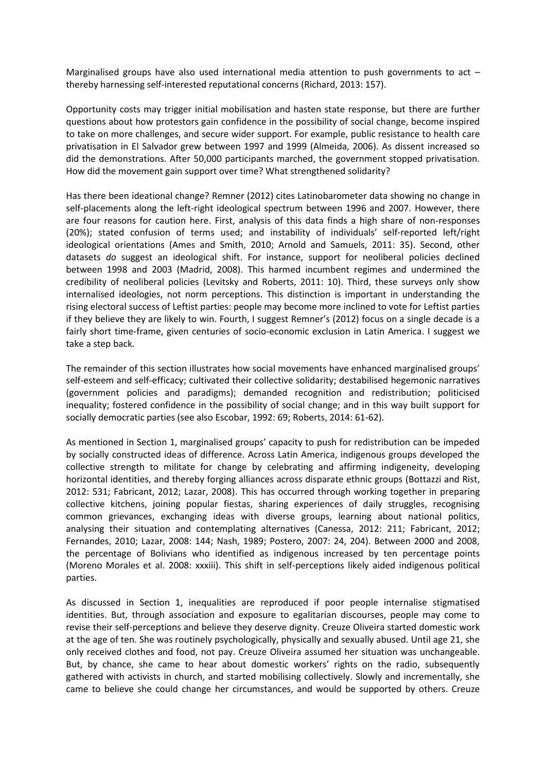Marginalised groups have also used international media attention to push governments to act  $$ thereby harnessing self-interested reputational concerns (Richard, 2013: 157).

Opportunity costs may trigger initial mobilisation and hasten state response, but there are further questions about how protestors gain confidence in the possibility of social change, become inspired to take on more challenges, and secure wider support. For example, public resistance to health care privatisation in El Salvador grew between 1997 and 1999 (Almeida, 2006). As dissent increased so did the demonstrations. After 50,000 participants marched, the government stopped privatisation. How did the movement gain support over time? What strengthened solidarity?

Has there been ideational change? Remner (2012) cites Latinobarometer data showing no change in self-placements along the left-right ideological spectrum between 1996 and 2007. However, there are four reasons for caution here. First, analysis of this data finds a high share of non-responses (20%); stated confusion of terms used; and instability of individuals' self-reported left/right ideological orientations (Ames and Smith, 2010; Arnold and Samuels, 2011: 35). Second, other datasets *do* suggest an ideological shift. For instance, support for neoliberal policies declined between 1998 and 2003 (Madrid, 2008). This harmed incumbent regimes and undermined the credibility of neoliberal policies (Levitsky and Roberts, 2011: 10). Third, these surveys only show internalised ideologies, not norm perceptions. This distinction is important in understanding the rising electoral success of Leftist parties: people may become more inclined to vote for Leftist parties if they believe they are likely to win. Fourth, I suggest Remner's (2012) focus on a single decade is a fairly short time-frame, given centuries of socio-economic exclusion in Latin America. I suggest we take a step back.

The remainder of this section illustrates how social movements have enhanced marginalised groups' self-esteem and self-efficacy; cultivated their collective solidarity; destabilised hegemonic narratives (government policies and paradigms); demanded recognition and redistribution; politicised inequality; fostered confidence in the possibility of social change; and in this way built support for socially democratic parties (see also Escobar, 1992: 69; Roberts, 2014: 61-62).

As mentioned in Section 1, marginalised groups' capacity to push for redistribution can be impeded by socially constructed ideas of difference. Across Latin America, indigenous groups developed the collective strength to militate for change by celebrating and affirming indigeneity, developing horizontal identities, and thereby forging alliances across disparate ethnic groups (Bottazzi and Rist, 2012: 531; Fabricant, 2012; Lazar, 2008). This has occurred through working together in preparing collective kitchens, joining popular fiestas, sharing experiences of daily struggles, recognising common grievances, exchanging ideas with diverse groups, learning about national politics, analysing their situation and contemplating alternatives (Canessa, 2012: 211; Fabricant, 2012; Fernandes, 2010; Lazar, 2008: 144; Nash, 1989; Postero, 2007: 24, 204). Between 2000 and 2008, the percentage of Bolivians who identified as indigenous increased by ten percentage points (Moreno Morales et al. 2008: xxxiii). This shift in self-perceptions likely aided indigenous political parties.

As discussed in Section 1, inequalities are reproduced if poor people internalise stigmatised identities. But, through association and exposure to egalitarian discourses, people may come to revise their self-perceptions and believe they deserve dignity. Creuze Oliveira started domestic work at the age of ten. She was routinely psychologically, physically and sexually abused. Until age 21, she only received clothes and food, not pay. Creuze Oliveira assumed her situation was unchangeable. But, by chance, she came to hear about domestic workers' rights on the radio, subsequently gathered with activists in church, and started mobilising collectively. Slowly and incrementally, she came to believe she could change her circumstances, and would be supported by others. Creuze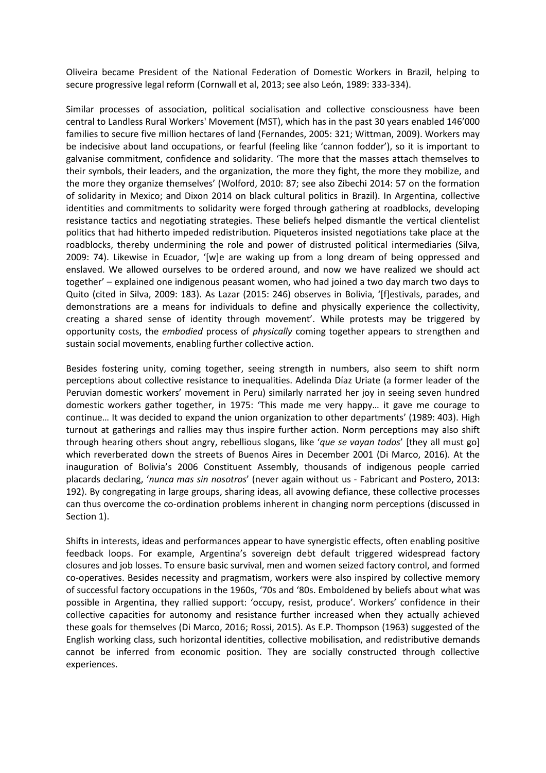Oliveira became President of the National Federation of Domestic Workers in Brazil, helping to secure progressive legal reform (Cornwall et al, 2013; see also León, 1989: 333-334).

Similar processes of association, political socialisation and collective consciousness have been central to Landless Rural Workers' Movement (MST), which has in the past 30 years enabled 146'000 families to secure five million hectares of land (Fernandes, 2005: 321; Wittman, 2009). Workers may be indecisive about land occupations, or fearful (feeling like 'cannon fodder'), so it is important to galvanise commitment, confidence and solidarity. 'The more that the masses attach themselves to their symbols, their leaders, and the organization, the more they fight, the more they mobilize, and the more they organize themselves' (Wolford, 2010: 87; see also Zibechi 2014: 57 on the formation of solidarity in Mexico; and Dixon 2014 on black cultural politics in Brazil). In Argentina, collective identities and commitments to solidarity were forged through gathering at roadblocks, developing resistance tactics and negotiating strategies. These beliefs helped dismantle the vertical clientelist politics that had hitherto impeded redistribution. Piqueteros insisted negotiations take place at the roadblocks, thereby undermining the role and power of distrusted political intermediaries (Silva, 2009: 74). Likewise in Ecuador, '[w]e are waking up from a long dream of being oppressed and enslaved. We allowed ourselves to be ordered around, and now we have realized we should act together' – explained one indigenous peasant women, who had joined a two day march two days to Quito (cited in Silva, 2009: 183). As Lazar (2015: 246) observes in Bolivia, '[f]estivals, parades, and demonstrations are a means for individuals to define and physically experience the collectivity, creating a shared sense of identity through movement'. While protests may be triggered by opportunity costs, the *embodied* process of *physically* coming together appears to strengthen and sustain social movements, enabling further collective action.

Besides fostering unity, coming together, seeing strength in numbers, also seem to shift norm perceptions about collective resistance to inequalities. Adelinda Díaz Uriate (a former leader of the Peruvian domestic workers' movement in Peru) similarly narrated her joy in seeing seven hundred domestic workers gather together, in 1975: 'This made me very happy… it gave me courage to continue… It was decided to expand the union organization to other departments' (1989: 403). High turnout at gatherings and rallies may thus inspire further action. Norm perceptions may also shift through hearing others shout angry, rebellious slogans, like '*que se vayan todos*' [they all must go] which reverberated down the streets of Buenos Aires in December 2001 (Di Marco, 2016). At the inauguration of Bolivia's 2006 Constituent Assembly, thousands of indigenous people carried placards declaring, '*nunca mas sin nosotros*' (never again without us - Fabricant and Postero, 2013: 192). By congregating in large groups, sharing ideas, all avowing defiance, these collective processes can thus overcome the co-ordination problems inherent in changing norm perceptions (discussed in Section 1).

Shifts in interests, ideas and performances appear to have synergistic effects, often enabling positive feedback loops. For example, Argentina's sovereign debt default triggered widespread factory closures and job losses. To ensure basic survival, men and women seized factory control, and formed co-operatives. Besides necessity and pragmatism, workers were also inspired by collective memory of successful factory occupations in the 1960s, '70s and '80s. Emboldened by beliefs about what was possible in Argentina, they rallied support: 'occupy, resist, produce'. Workers' confidence in their collective capacities for autonomy and resistance further increased when they actually achieved these goals for themselves (Di Marco, 2016; Rossi, 2015). As E.P. Thompson (1963) suggested of the English working class, such horizontal identities, collective mobilisation, and redistributive demands cannot be inferred from economic position. They are socially constructed through collective experiences.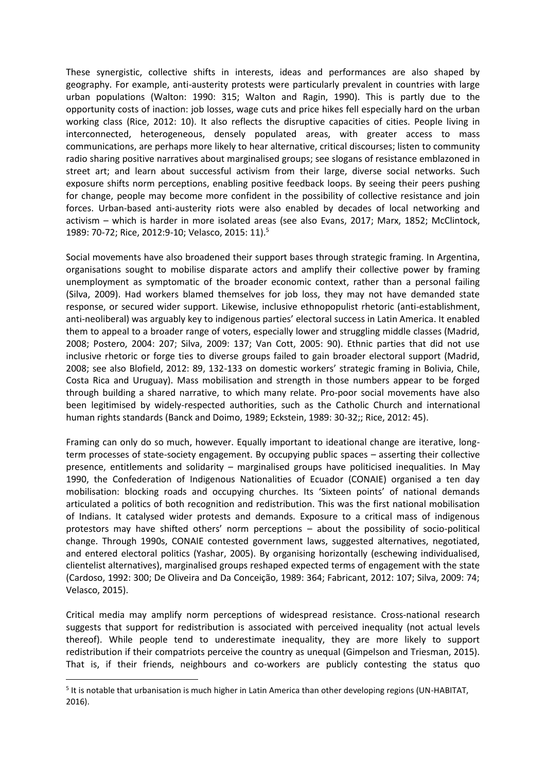These synergistic, collective shifts in interests, ideas and performances are also shaped by geography. For example, anti-austerity protests were particularly prevalent in countries with large urban populations (Walton: 1990: 315; Walton and Ragin, 1990). This is partly due to the opportunity costs of inaction: job losses, wage cuts and price hikes fell especially hard on the urban working class (Rice, 2012: 10). It also reflects the disruptive capacities of cities. People living in interconnected, heterogeneous, densely populated areas, with greater access to mass communications, are perhaps more likely to hear alternative, critical discourses; listen to community radio sharing positive narratives about marginalised groups; see slogans of resistance emblazoned in street art; and learn about successful activism from their large, diverse social networks. Such exposure shifts norm perceptions, enabling positive feedback loops. By seeing their peers pushing for change, people may become more confident in the possibility of collective resistance and join forces. Urban-based anti-austerity riots were also enabled by decades of local networking and activism – which is harder in more isolated areas (see also Evans, 2017; Marx, 1852; McClintock, 1989: 70-72; Rice, 2012:9-10; Velasco, 2015: 11).<sup>5</sup>

Social movements have also broadened their support bases through strategic framing. In Argentina, organisations sought to mobilise disparate actors and amplify their collective power by framing unemployment as symptomatic of the broader economic context, rather than a personal failing (Silva, 2009). Had workers blamed themselves for job loss, they may not have demanded state response, or secured wider support. Likewise, inclusive ethnopopulist rhetoric (anti-establishment, anti-neoliberal) was arguably key to indigenous parties' electoral success in Latin America. It enabled them to appeal to a broader range of voters, especially lower and struggling middle classes (Madrid, 2008; Postero, 2004: 207; Silva, 2009: 137; Van Cott, 2005: 90). Ethnic parties that did not use inclusive rhetoric or forge ties to diverse groups failed to gain broader electoral support (Madrid, 2008; see also Blofield, 2012: 89, 132-133 on domestic workers' strategic framing in Bolivia, Chile, Costa Rica and Uruguay). Mass mobilisation and strength in those numbers appear to be forged through building a shared narrative, to which many relate. Pro-poor social movements have also been legitimised by widely-respected authorities, such as the Catholic Church and international human rights standards (Banck and Doimo, 1989; Eckstein, 1989: 30-32;; Rice, 2012: 45).

Framing can only do so much, however. Equally important to ideational change are iterative, longterm processes of state-society engagement. By occupying public spaces – asserting their collective presence, entitlements and solidarity – marginalised groups have politicised inequalities. In May 1990, the Confederation of Indigenous Nationalities of Ecuador (CONAIE) organised a ten day mobilisation: blocking roads and occupying churches. Its 'Sixteen points' of national demands articulated a politics of both recognition and redistribution. This was the first national mobilisation of Indians. It catalysed wider protests and demands. Exposure to a critical mass of indigenous protestors may have shifted others' norm perceptions – about the possibility of socio-political change. Through 1990s, CONAIE contested government laws, suggested alternatives, negotiated, and entered electoral politics (Yashar, 2005). By organising horizontally (eschewing individualised, clientelist alternatives), marginalised groups reshaped expected terms of engagement with the state (Cardoso, 1992: 300; De Oliveira and Da Conceição, 1989: 364; Fabricant, 2012: 107; Silva, 2009: 74; Velasco, 2015).

Critical media may amplify norm perceptions of widespread resistance. Cross-national research suggests that support for redistribution is associated with perceived inequality (not actual levels thereof). While people tend to underestimate inequality, they are more likely to support redistribution if their compatriots perceive the country as unequal (Gimpelson and Triesman, 2015). That is, if their friends, neighbours and co-workers are publicly contesting the status quo

-

<sup>&</sup>lt;sup>5</sup> It is notable that urbanisation is much higher in Latin America than other developing regions (UN-HABITAT, 2016).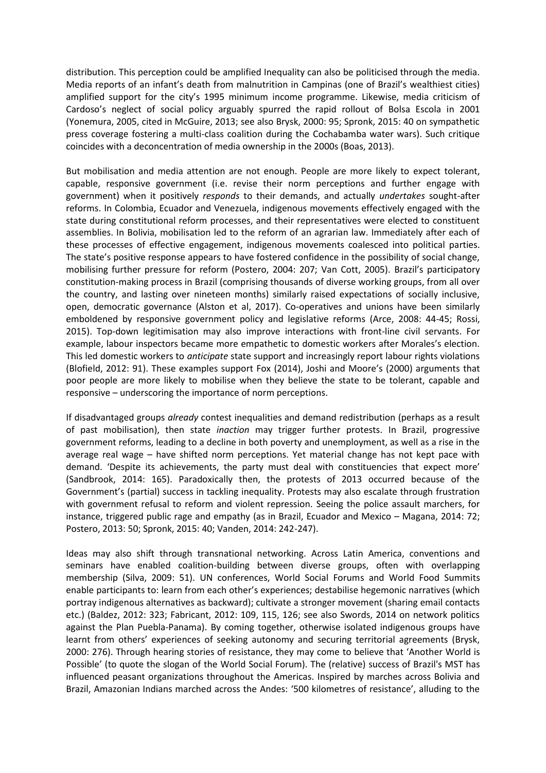distribution. This perception could be amplified Inequality can also be politicised through the media. Media reports of an infant's death from malnutrition in Campinas (one of Brazil's wealthiest cities) amplified support for the city's 1995 minimum income programme. Likewise, media criticism of Cardoso's neglect of social policy arguably spurred the rapid rollout of Bolsa Escola in 2001 (Yonemura, 2005, cited in McGuire, 2013; see also Brysk, 2000: 95; Spronk, 2015: 40 on sympathetic press coverage fostering a multi-class coalition during the Cochabamba water wars). Such critique coincides with a deconcentration of media ownership in the 2000s (Boas, 2013).

But mobilisation and media attention are not enough. People are more likely to expect tolerant, capable, responsive government (i.e. revise their norm perceptions and further engage with government) when it positively *responds* to their demands, and actually *undertakes* sought-after reforms. In Colombia, Ecuador and Venezuela, indigenous movements effectively engaged with the state during constitutional reform processes, and their representatives were elected to constituent assemblies. In Bolivia, mobilisation led to the reform of an agrarian law. Immediately after each of these processes of effective engagement, indigenous movements coalesced into political parties. The state's positive response appears to have fostered confidence in the possibility of social change, mobilising further pressure for reform (Postero, 2004: 207; Van Cott, 2005). Brazil's participatory constitution-making process in Brazil (comprising thousands of diverse working groups, from all over the country, and lasting over nineteen months) similarly raised expectations of socially inclusive, open, democratic governance (Alston et al, 2017). Co-operatives and unions have been similarly emboldened by responsive government policy and legislative reforms (Arce, 2008: 44-45; Rossi, 2015). Top-down legitimisation may also improve interactions with front-line civil servants. For example, labour inspectors became more empathetic to domestic workers after Morales's election. This led domestic workers to *anticipate* state support and increasingly report labour rights violations (Blofield, 2012: 91). These examples support Fox (2014), Joshi and Moore's (2000) arguments that poor people are more likely to mobilise when they believe the state to be tolerant, capable and responsive – underscoring the importance of norm perceptions.

If disadvantaged groups *already* contest inequalities and demand redistribution (perhaps as a result of past mobilisation), then state *inaction* may trigger further protests. In Brazil, progressive government reforms, leading to a decline in both poverty and unemployment, as well as a rise in the average real wage – have shifted norm perceptions. Yet material change has not kept pace with demand. 'Despite its achievements, the party must deal with constituencies that expect more' (Sandbrook, 2014: 165). Paradoxically then, the protests of 2013 occurred because of the Government's (partial) success in tackling inequality. Protests may also escalate through frustration with government refusal to reform and violent repression. Seeing the police assault marchers, for instance, triggered public rage and empathy (as in Brazil, Ecuador and Mexico – Magana, 2014: 72; Postero, 2013: 50; Spronk, 2015: 40; Vanden, 2014: 242-247).

Ideas may also shift through transnational networking. Across Latin America, conventions and seminars have enabled coalition-building between diverse groups, often with overlapping membership (Silva, 2009: 51). UN conferences, World Social Forums and World Food Summits enable participants to: learn from each other's experiences; destabilise hegemonic narratives (which portray indigenous alternatives as backward); cultivate a stronger movement (sharing email contacts etc.) (Baldez, 2012: 323; Fabricant, 2012: 109, 115, 126; see also Swords, 2014 on network politics against the Plan Puebla-Panama). By coming together, otherwise isolated indigenous groups have learnt from others' experiences of seeking autonomy and securing territorial agreements (Brysk, 2000: 276). Through hearing stories of resistance, they may come to believe that 'Another World is Possible' (to quote the slogan of the World Social Forum). The (relative) success of Brazil's MST has influenced peasant organizations throughout the Americas. Inspired by marches across Bolivia and Brazil, Amazonian Indians marched across the Andes: '500 kilometres of resistance', alluding to the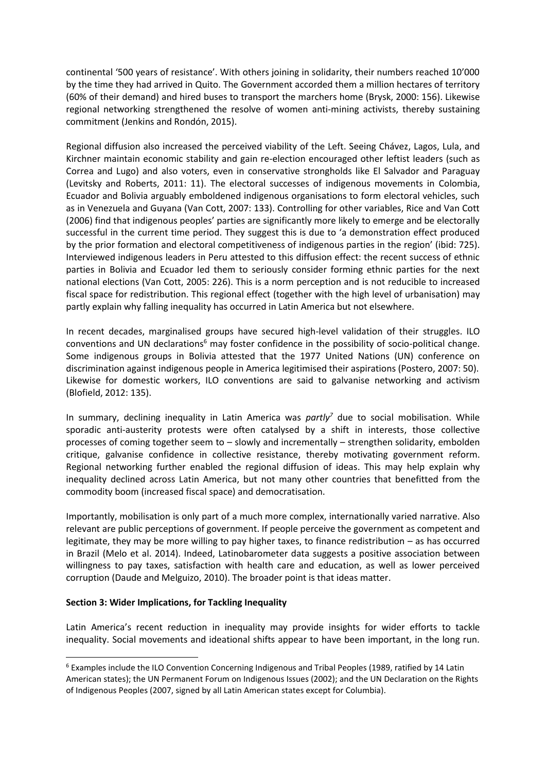continental '500 years of resistance'. With others joining in solidarity, their numbers reached 10'000 by the time they had arrived in Quito. The Government accorded them a million hectares of territory (60% of their demand) and hired buses to transport the marchers home (Brysk, 2000: 156). Likewise regional networking strengthened the resolve of women anti-mining activists, thereby sustaining commitment (Jenkins and Rondón, 2015).

Regional diffusion also increased the perceived viability of the Left. Seeing Chávez, Lagos, Lula, and Kirchner maintain economic stability and gain re-election encouraged other leftist leaders (such as Correa and Lugo) and also voters, even in conservative strongholds like El Salvador and Paraguay (Levitsky and Roberts, 2011: 11). The electoral successes of indigenous movements in Colombia, Ecuador and Bolivia arguably emboldened indigenous organisations to form electoral vehicles, such as in Venezuela and Guyana (Van Cott, 2007: 133). Controlling for other variables, Rice and Van Cott (2006) find that indigenous peoples' parties are significantly more likely to emerge and be electorally successful in the current time period. They suggest this is due to 'a demonstration effect produced by the prior formation and electoral competitiveness of indigenous parties in the region' (ibid: 725). Interviewed indigenous leaders in Peru attested to this diffusion effect: the recent success of ethnic parties in Bolivia and Ecuador led them to seriously consider forming ethnic parties for the next national elections (Van Cott, 2005: 226). This is a norm perception and is not reducible to increased fiscal space for redistribution. This regional effect (together with the high level of urbanisation) may partly explain why falling inequality has occurred in Latin America but not elsewhere.

In recent decades, marginalised groups have secured high-level validation of their struggles. ILO conventions and UN declarations<sup>6</sup> may foster confidence in the possibility of socio-political change. Some indigenous groups in Bolivia attested that the 1977 United Nations (UN) conference on discrimination against indigenous people in America legitimised their aspirations (Postero, 2007: 50). Likewise for domestic workers, ILO conventions are said to galvanise networking and activism (Blofield, 2012: 135).

In summary, declining inequality in Latin America was *partly<sup>7</sup>* due to social mobilisation. While sporadic anti-austerity protests were often catalysed by a shift in interests, those collective processes of coming together seem to – slowly and incrementally – strengthen solidarity, embolden critique, galvanise confidence in collective resistance, thereby motivating government reform. Regional networking further enabled the regional diffusion of ideas. This may help explain why inequality declined across Latin America, but not many other countries that benefitted from the commodity boom (increased fiscal space) and democratisation.

Importantly, mobilisation is only part of a much more complex, internationally varied narrative. Also relevant are public perceptions of government. If people perceive the government as competent and legitimate, they may be more willing to pay higher taxes, to finance redistribution – as has occurred in Brazil (Melo et al. 2014). Indeed, Latinobarometer data suggests a positive association between willingness to pay taxes, satisfaction with health care and education, as well as lower perceived corruption (Daude and Melguizo, 2010). The broader point is that ideas matter.

## **Section 3: Wider Implications, for Tackling Inequality**

-

Latin America's recent reduction in inequality may provide insights for wider efforts to tackle inequality. Social movements and ideational shifts appear to have been important, in the long run.

<sup>&</sup>lt;sup>6</sup> Examples include the ILO Convention Concerning Indigenous and Tribal Peoples (1989, ratified by 14 Latin American states); the UN Permanent Forum on Indigenous Issues (2002); and the UN Declaration on the Rights of Indigenous Peoples (2007, signed by all Latin American states except for Columbia).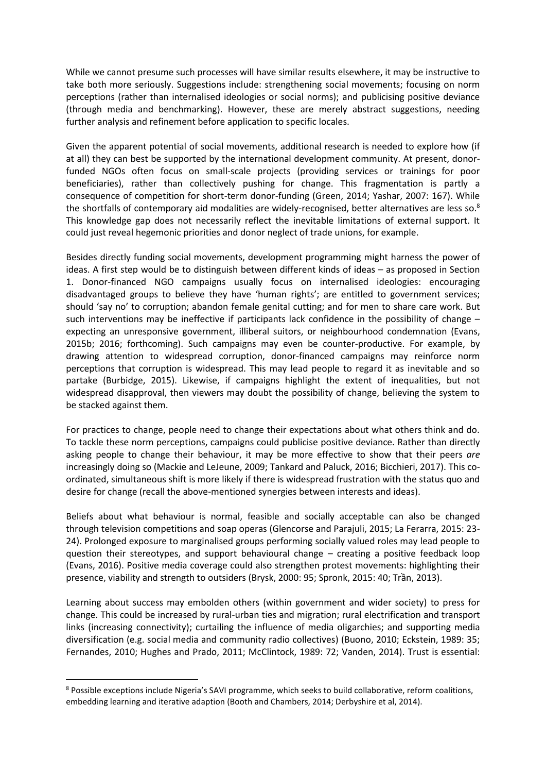While we cannot presume such processes will have similar results elsewhere, it may be instructive to take both more seriously. Suggestions include: strengthening social movements; focusing on norm perceptions (rather than internalised ideologies or social norms); and publicising positive deviance (through media and benchmarking). However, these are merely abstract suggestions, needing further analysis and refinement before application to specific locales.

Given the apparent potential of social movements, additional research is needed to explore how (if at all) they can best be supported by the international development community. At present, donorfunded NGOs often focus on small-scale projects (providing services or trainings for poor beneficiaries), rather than collectively pushing for change. This fragmentation is partly a consequence of competition for short-term donor-funding (Green, 2014; Yashar, 2007: 167). While the shortfalls of contemporary aid modalities are widely-recognised, better alternatives are less so.<sup>8</sup> This knowledge gap does not necessarily reflect the inevitable limitations of external support. It could just reveal hegemonic priorities and donor neglect of trade unions, for example.

Besides directly funding social movements, development programming might harness the power of ideas. A first step would be to distinguish between different kinds of ideas – as proposed in Section 1. Donor-financed NGO campaigns usually focus on internalised ideologies: encouraging disadvantaged groups to believe they have 'human rights'; are entitled to government services; should 'say no' to corruption; abandon female genital cutting; and for men to share care work. But such interventions may be ineffective if participants lack confidence in the possibility of change – expecting an unresponsive government, illiberal suitors, or neighbourhood condemnation (Evans, 2015b; 2016; forthcoming). Such campaigns may even be counter-productive. For example, by drawing attention to widespread corruption, donor-financed campaigns may reinforce norm perceptions that corruption is widespread. This may lead people to regard it as inevitable and so partake (Burbidge, 2015). Likewise, if campaigns highlight the extent of inequalities, but not widespread disapproval, then viewers may doubt the possibility of change, believing the system to be stacked against them.

For practices to change, people need to change their expectations about what others think and do. To tackle these norm perceptions, campaigns could publicise positive deviance. Rather than directly asking people to change their behaviour, it may be more effective to show that their peers *are* increasingly doing so (Mackie and LeJeune, 2009; Tankard and Paluck, 2016; Bicchieri, 2017). This coordinated, simultaneous shift is more likely if there is widespread frustration with the status quo and desire for change (recall the above-mentioned synergies between interests and ideas).

Beliefs about what behaviour is normal, feasible and socially acceptable can also be changed through television competitions and soap operas (Glencorse and Parajuli, 2015; La Ferarra, 2015: 23- 24). Prolonged exposure to marginalised groups performing socially valued roles may lead people to question their stereotypes, and support behavioural change – creating a positive feedback loop (Evans, 2016). Positive media coverage could also strengthen protest movements: highlighting their presence, viability and strength to outsiders (Brysk, 2000: 95; Spronk, 2015: 40; Trần, 2013).

Learning about success may embolden others (within government and wider society) to press for change. This could be increased by rural-urban ties and migration; rural electrification and transport links (increasing connectivity); curtailing the influence of media oligarchies; and supporting media diversification (e.g. social media and community radio collectives) (Buono, 2010; Eckstein, 1989: 35; Fernandes, 2010; Hughes and Prado, 2011; McClintock, 1989: 72; Vanden, 2014). Trust is essential:

-

<sup>8</sup> Possible exceptions include Nigeria's SAVI programme, which seeks to build collaborative, reform coalitions, embedding learning and iterative adaption (Booth and Chambers, 2014; Derbyshire et al, 2014).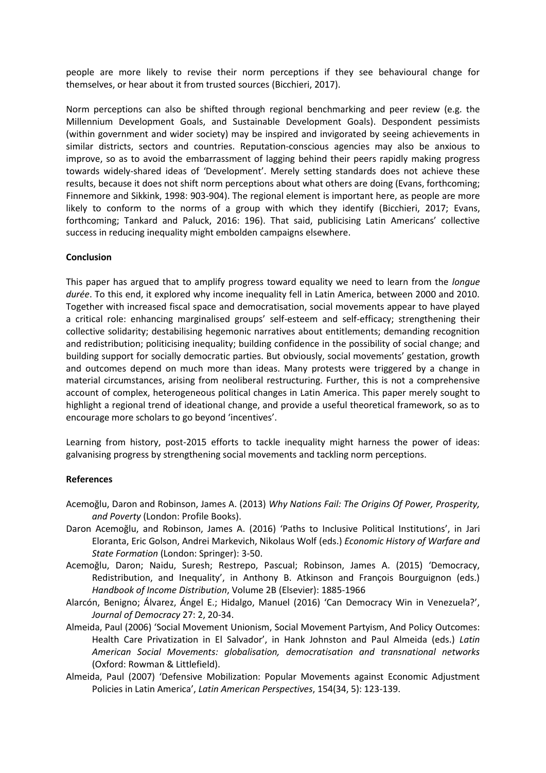people are more likely to revise their norm perceptions if they see behavioural change for themselves, or hear about it from trusted sources (Bicchieri, 2017).

Norm perceptions can also be shifted through regional benchmarking and peer review (e.g. the Millennium Development Goals, and Sustainable Development Goals). Despondent pessimists (within government and wider society) may be inspired and invigorated by seeing achievements in similar districts, sectors and countries. Reputation-conscious agencies may also be anxious to improve, so as to avoid the embarrassment of lagging behind their peers rapidly making progress towards widely-shared ideas of 'Development'. Merely setting standards does not achieve these results, because it does not shift norm perceptions about what others are doing (Evans, forthcoming; Finnemore and Sikkink, 1998: 903-904). The regional element is important here, as people are more likely to conform to the norms of a group with which they identify (Bicchieri, 2017; Evans, forthcoming; Tankard and Paluck, 2016: 196). That said, publicising Latin Americans' collective success in reducing inequality might embolden campaigns elsewhere.

## **Conclusion**

This paper has argued that to amplify progress toward equality we need to learn from the *longue durée*. To this end, it explored why income inequality fell in Latin America, between 2000 and 2010. Together with increased fiscal space and democratisation, social movements appear to have played a critical role: enhancing marginalised groups' self-esteem and self-efficacy; strengthening their collective solidarity; destabilising hegemonic narratives about entitlements; demanding recognition and redistribution; politicising inequality; building confidence in the possibility of social change; and building support for socially democratic parties. But obviously, social movements' gestation, growth and outcomes depend on much more than ideas. Many protests were triggered by a change in material circumstances, arising from neoliberal restructuring. Further, this is not a comprehensive account of complex, heterogeneous political changes in Latin America. This paper merely sought to highlight a regional trend of ideational change, and provide a useful theoretical framework, so as to encourage more scholars to go beyond 'incentives'.

Learning from history, post-2015 efforts to tackle inequality might harness the power of ideas: galvanising progress by strengthening social movements and tackling norm perceptions.

#### **References**

- Acemoğlu, Daron and Robinson, James A. (2013) *Why Nations Fail: The Origins Of Power, Prosperity, and Poverty* (London: Profile Books).
- Daron Acemoğlu, and Robinson, James A. (2016) 'Paths to Inclusive Political Institutions', in Jari Eloranta, Eric Golson, Andrei Markevich, Nikolaus Wolf (eds.) *Economic History of Warfare and State Formation* (London: Springer): 3-50.
- Acemoğlu, Daron; Naidu, Suresh; Restrepo, Pascual; Robinson, James A. (2015) 'Democracy, Redistribution, and Inequality', in Anthony B. Atkinson and François Bourguignon (eds.) *Handbook of Income Distribution*, Volume 2B (Elsevier): 1885-1966
- Alarcón, Benigno; Álvarez, Ángel E.; Hidalgo, Manuel (2016) 'Can Democracy Win in Venezuela?', *Journal of Democracy* 27: 2, 20-34.
- Almeida, Paul (2006) 'Social Movement Unionism, Social Movement Partyism, And Policy Outcomes: Health Care Privatization in El Salvador', in Hank Johnston and Paul Almeida (eds.) *Latin American Social Movements: globalisation, democratisation and transnational networks*  (Oxford: Rowman & Littlefield).
- Almeida, Paul (2007) 'Defensive Mobilization: Popular Movements against Economic Adjustment Policies in Latin America', *Latin American Perspectives*, 154(34, 5): 123-139.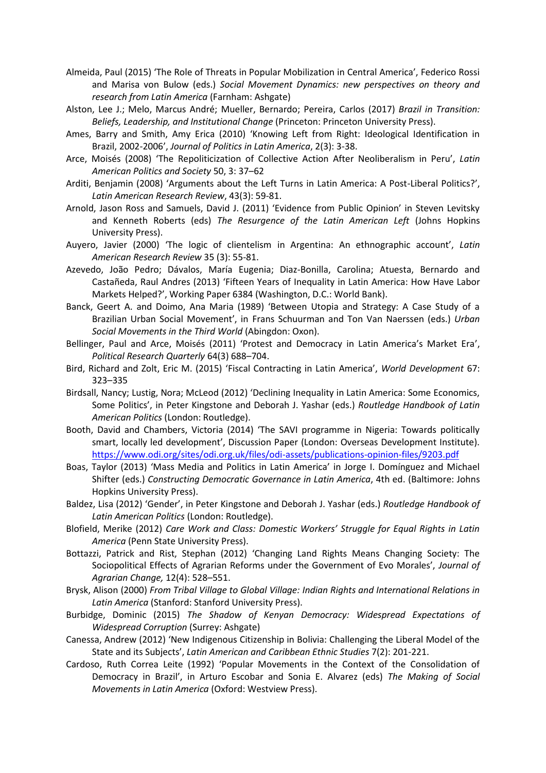- Almeida, Paul (2015) 'The Role of Threats in Popular Mobilization in Central America', Federico Rossi and Marisa von Bulow (eds.) *Social Movement Dynamics: new perspectives on theory and research from Latin America* (Farnham: Ashgate)
- Alston, Lee J.; Melo, Marcus André; Mueller, Bernardo; Pereira, Carlos (2017) *Brazil in Transition: Beliefs, Leadership, and Institutional Change* (Princeton: Princeton University Press).
- Ames, Barry and Smith, Amy Erica (2010) 'Knowing Left from Right: Ideological Identification in Brazil, 2002-2006', *Journal of Politics in Latin America*, 2(3): 3-38.
- Arce, Moisés (2008) 'The Repoliticization of Collective Action After Neoliberalism in Peru', *Latin American Politics and Society* 50, 3: 37–62
- Arditi, Benjamin (2008) 'Arguments about the Left Turns in Latin America: A Post-Liberal Politics?', *Latin American Research Review*, 43(3): 59-81.
- Arnold, Jason Ross and Samuels, David J. (2011) 'Evidence from Public Opinion' in Steven Levitsky and Kenneth Roberts (eds) *The Resurgence of the Latin American Left* (Johns Hopkins University Press).
- Auyero, Javier (2000) 'The logic of clientelism in Argentina: An ethnographic account', *Latin American Research Review* 35 (3): 55-81.
- Azevedo, João Pedro; Dávalos, María Eugenia; Diaz-Bonilla, Carolina; Atuesta, Bernardo and Castañeda, Raul Andres (2013) 'Fifteen Years of Inequality in Latin America: How Have Labor Markets Helped?', Working Paper 6384 (Washington, D.C.: World Bank).
- Banck, Geert A. and Doimo, Ana Maria (1989) 'Between Utopia and Strategy: A Case Study of a Brazilian Urban Social Movement', in Frans Schuurman and Ton Van Naerssen (eds.) *Urban Social Movements in the Third World* (Abingdon: Oxon).
- Bellinger, Paul and Arce, Moisés (2011) 'Protest and Democracy in Latin America's Market Era', *Political Research Quarterly* 64(3) 688–704.
- Bird, Richard and Zolt, Eric M. (2015) 'Fiscal Contracting in Latin America', *World Development* 67: 323–335
- Birdsall, Nancy; Lustig, Nora; McLeod (2012) 'Declining Inequality in Latin America: Some Economics, Some Politics', in Peter Kingstone and Deborah J. Yashar (eds.) *Routledge Handbook of Latin American Politics* (London: Routledge).
- Booth, David and Chambers, Victoria (2014) 'The SAVI programme in Nigeria: Towards politically smart, locally led development', Discussion Paper (London: Overseas Development Institute). <https://www.odi.org/sites/odi.org.uk/files/odi-assets/publications-opinion-files/9203.pdf>
- Boas, Taylor (2013) 'Mass Media and Politics in Latin America' in Jorge I. Domínguez and Michael Shifter (eds.) *Constructing Democratic Governance in Latin America*, 4th ed. (Baltimore: Johns Hopkins University Press).
- Baldez, Lisa (2012) 'Gender', in Peter Kingstone and Deborah J. Yashar (eds.) *Routledge Handbook of Latin American Politics* (London: Routledge).
- Blofield, Merike (2012) *Care Work and Class: Domestic Workers' Struggle for Equal Rights in Latin America* (Penn State University Press).
- Bottazzi, Patrick and Rist, Stephan (2012) 'Changing Land Rights Means Changing Society: The Sociopolitical Effects of Agrarian Reforms under the Government of Evo Morales', *Journal of Agrarian Change,* 12(4): 528–551.
- Brysk, Alison (2000) *From Tribal Village to Global Village: Indian Rights and International Relations in Latin America* (Stanford: Stanford University Press).
- Burbidge, Dominic (2015) *The Shadow of Kenyan Democracy: Widespread Expectations of Widespread Corruption* (Surrey: Ashgate)
- Canessa, Andrew (2012) 'New Indigenous Citizenship in Bolivia: Challenging the Liberal Model of the State and its Subjects', *Latin American and Caribbean Ethnic Studies* 7(2): 201-221.
- Cardoso, Ruth Correa Leite (1992) 'Popular Movements in the Context of the Consolidation of Democracy in Brazil', in Arturo Escobar and Sonia E. Alvarez (eds) *The Making of Social Movements in Latin America* (Oxford: Westview Press).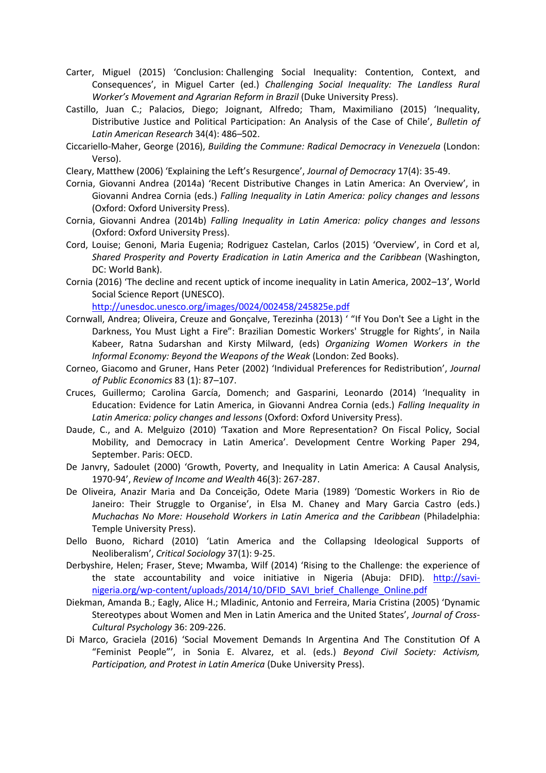- Carter, Miguel (2015) 'Conclusion: Challenging Social Inequality: [Contention,](http://libsta28.lib.cam.ac.uk:2178/highwire_book/ac/precheck?id=dup%3B9780822395065/1/conclusion&view=body&tizra_redirect=http%3A//reader.dukeupress.edu/challenging-social-inequality/442&id_type=pisa&recheck=&book_edition=130732) Context, and [Consequences](http://libsta28.lib.cam.ac.uk:2178/highwire_book/ac/precheck?id=dup%3B9780822395065/1/conclusion&view=body&tizra_redirect=http%3A//reader.dukeupress.edu/challenging-social-inequality/442&id_type=pisa&recheck=&book_edition=130732)', in Miguel Carter (ed.) *Challenging Social Inequality: The Landless Rural Worker's Movement and Agrarian Reform in Brazil (Duke University Press).*
- Castillo, Juan C.; Palacios, Diego; Joignant, Alfredo; Tham, Maximiliano (2015) 'Inequality, Distributive Justice and Political Participation: An Analysis of the Case of Chile', *Bulletin of Latin American Research* 34(4): 486–502.
- Ciccariello-Maher, George (2016), *Building the Commune: Radical Democracy in Venezuela* (London: Verso).

Cleary, Matthew (2006) 'Explaining the Left's Resurgence', *Journal of Democracy* 17(4): 35-49.

- Cornia, Giovanni Andrea (2014a) 'Recent Distributive Changes in Latin America: An Overview', in Giovanni Andrea Cornia (eds.) *Falling Inequality in Latin America: policy changes and lessons*  (Oxford: Oxford University Press).
- Cornia, Giovanni Andrea (2014b) *Falling Inequality in Latin America: policy changes and lessons*  (Oxford: Oxford University Press).
- Cord, Louise; Genoni, Maria Eugenia; Rodriguez Castelan, Carlos (2015) 'Overview', in Cord et al, *Shared Prosperity and Poverty Eradication in Latin America and the Caribbean* (Washington, DC: World Bank).
- Cornia (2016) 'The decline and recent uptick of income inequality in Latin America, 2002–13', World Social Science Report (UNESCO).

<http://unesdoc.unesco.org/images/0024/002458/245825e.pdf>

- Cornwall, Andrea; Oliveira, Creuze and Gonçalve, Terezinha (2013) ' "If You Don't See a Light in the Darkness, You Must Light a Fire": Brazilian Domestic Workers' Struggle for Rights', in Naila Kabeer, Ratna Sudarshan and Kirsty Milward, (eds) *Organizing Women Workers in the Informal Economy: Beyond the Weapons of the Weak* (London: Zed Books).
- Corneo, Giacomo and Gruner, Hans Peter (2002) 'Individual Preferences for Redistribution', *Journal of Public Economics* 83 (1): 87–107.
- Cruces, Guillermo; Carolina García, Domench; and Gasparini, Leonardo (2014) 'Inequality in Education: Evidence for Latin America, in Giovanni Andrea Cornia (eds.) *Falling Inequality in Latin America: policy changes and lessons* (Oxford: Oxford University Press).
- Daude, C., and A. Melguizo (2010) 'Taxation and More Representation? On Fiscal Policy, Social Mobility, and Democracy in Latin America'. Development Centre Working Paper 294, September. Paris: OECD.
- De Janvry, Sadoulet (2000) 'Growth, Poverty, and Inequality in Latin America: A Causal Analysis, 1970-94', *Review of Income and Wealth* 46(3): 267-287.
- De Oliveira, Anazir Maria and Da Conceição, Odete Maria (1989) 'Domestic Workers in Rio de Janeiro: Their Struggle to Organise', in Elsa M. Chaney and Mary Garcia Castro (eds.) *Muchachas No More: Household Workers in Latin America and the Caribbean (Philadelphia:* Temple University Press).
- Dello Buono, Richard (2010) 'Latin America and the Collapsing Ideological Supports of Neoliberalism', *Critical Sociology* 37(1): 9-25.
- Derbyshire, Helen; Fraser, Steve; Mwamba, Wilf (2014) 'Rising to the Challenge: the experience of the state accountability and voice initiative in Nigeria (Abuja: DFID). [http://savi](http://savi-nigeria.org/wp-content/uploads/2014/10/DFID_SAVI_brief_Challenge_Online.pdf)[nigeria.org/wp-content/uploads/2014/10/DFID\\_SAVI\\_brief\\_Challenge\\_Online.pdf](http://savi-nigeria.org/wp-content/uploads/2014/10/DFID_SAVI_brief_Challenge_Online.pdf)
- Diekman, Amanda B.; Eagly, Alice H.; Mladinic, Antonio and Ferreira, Maria Cristina (2005) 'Dynamic Stereotypes about Women and Men in Latin America and the United States', *Journal of Cross-Cultural Psychology* 36: 209-226.
- Di Marco, Graciela (2016) 'Social Movement Demands In Argentina And The Constitution Of A "Feminist People"', in Sonia E. Alvarez, et al. (eds.) *Beyond Civil Society: Activism, Participation, and Protest in Latin America* (Duke University Press).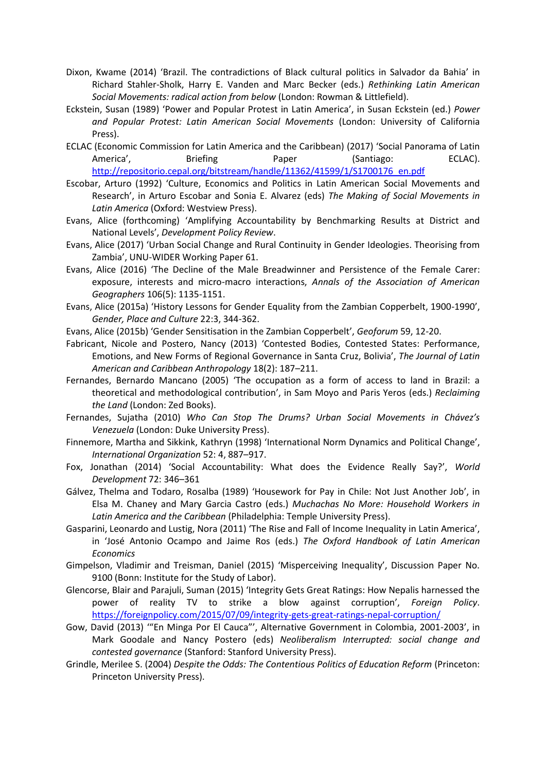- Dixon, Kwame (2014) 'Brazil. The contradictions of Black cultural politics in Salvador da Bahia' in Richard Stahler-Sholk, Harry E. Vanden and Marc Becker (eds.) *Rethinking Latin American Social Movements: radical action from below* (London: Rowman & Littlefield).
- Eckstein, Susan (1989) 'Power and Popular Protest in Latin America', in Susan Eckstein (ed.) *Power and Popular Protest: Latin American Social Movements* (London: University of California Press).
- ECLAC (Economic Commission for Latin America and the Caribbean) (2017) 'Social Panorama of Latin America', Briefing Paper (Santiago: ECLAC). [http://repositorio.cepal.org/bitstream/handle/11362/41599/1/S1700176\\_en.pdf](http://repositorio.cepal.org/bitstream/handle/11362/41599/1/S1700176_en.pdf)
- Escobar, Arturo (1992) 'Culture, Economics and Politics in Latin American Social Movements and Research', in Arturo Escobar and Sonia E. Alvarez (eds) *The Making of Social Movements in Latin America* (Oxford: Westview Press).
- Evans, Alice (forthcoming) 'Amplifying Accountability by Benchmarking Results at District and National Levels', *Development Policy Review*.
- Evans, Alice (2017) 'Urban Social Change and Rural Continuity in Gender Ideologies. Theorising from Zambia', UNU-WIDER Working Paper 61.
- Evans, Alice (2016) 'The Decline of the Male Breadwinner and Persistence of the Female Carer: exposure, interests and micro-macro interactions, *Annals of the Association of American Geographers* 106(5): 1135-1151.
- Evans, Alice (2015a) 'History Lessons for Gender Equality from the Zambian Copperbelt, 1900-1990', *Gender, Place and Culture* 22:3, 344-362.
- Evans, Alice (2015b) 'Gender Sensitisation in the Zambian Copperbelt', *Geoforum* 59, 12-20.
- Fabricant, Nicole and Postero, Nancy (2013) 'Contested Bodies, Contested States: Performance, Emotions, and New Forms of Regional Governance in Santa Cruz, Bolivia', *The Journal of Latin American and Caribbean Anthropology* 18(2): 187–211.
- Fernandes, Bernardo Mancano (2005) 'The occupation as a form of access to land in Brazil: a theoretical and methodological contribution', in Sam Moyo and Paris Yeros (eds.) *Reclaiming the Land* (London: Zed Books).
- Fernandes, Sujatha (2010) *Who Can Stop The Drums? Urban Social Movements in Chávez's Venezuela* (London: Duke University Press).
- Finnemore, Martha and Sikkink, Kathryn (1998) 'International Norm Dynamics and Political Change', *International Organization* 52: 4, 887–917.
- Fox, Jonathan (2014) 'Social Accountability: What does the Evidence Really Say?', *World Development* 72: 346–361
- Gálvez, Thelma and Todaro, Rosalba (1989) 'Housework for Pay in Chile: Not Just Another Job', in Elsa M. Chaney and Mary Garcia Castro (eds.) *Muchachas No More: Household Workers in Latin America and the Caribbean* (Philadelphia: Temple University Press).
- Gasparini, Leonardo and Lustig, Nora (2011) 'The Rise and Fall of Income Inequality in Latin America', in 'José Antonio Ocampo and Jaime Ros (eds.) *The Oxford Handbook of Latin American Economics*
- Gimpelson, Vladimir and Treisman, Daniel (2015) 'Misperceiving Inequality', Discussion Paper No. 9100 (Bonn: Institute for the Study of Labor).
- Glencorse, Blair and Parajuli, Suman (2015) 'Integrity Gets Great Ratings: How Nepalis harnessed the power of reality TV to strike a blow against corruption', *Foreign Policy*. <https://foreignpolicy.com/2015/07/09/integrity-gets-great-ratings-nepal-corruption/>
- Gow, David (2013) '"En Minga Por El Cauca"', Alternative Government in Colombia, 2001-2003', in Mark Goodale and Nancy Postero (eds) *Neoliberalism Interrupted: social change and contested governance* (Stanford: Stanford University Press).
- Grindle, Merilee S. (2004) *Despite the Odds: The Contentious Politics of Education Reform* (Princeton: Princeton University Press).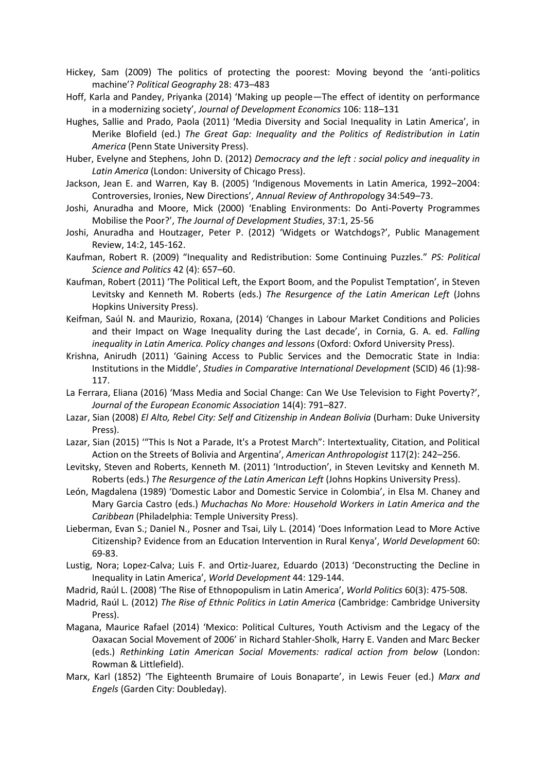- Hickey, Sam (2009) The politics of protecting the poorest: Moving beyond the 'anti-politics machine'? *Political Geography* 28: 473–483
- Hoff, Karla and Pandey, Priyanka (2014) 'Making up people—The effect of identity on performance in a modernizing society', *Journal of Development Economics* 106: 118–131
- Hughes, Sallie and Prado, Paola (2011) 'Media Diversity and Social Inequality in Latin America', in Merike Blofield (ed.) *The Great Gap: Inequality and the Politics of Redistribution in Latin America* (Penn State University Press).
- Huber, Evelyne and Stephens, John D. (2012) *Democracy and the left : social policy and inequality in Latin America* (London: University of Chicago Press).
- Jackson, Jean E. and Warren, Kay B. (2005) 'Indigenous Movements in Latin America, 1992–2004: Controversies, Ironies, New Directions', *Annual Review of Anthropol*ogy 34:549–73.
- Joshi, Anuradha and Moore, Mick (2000) 'Enabling Environments: Do Anti-Poverty Programmes Mobilise the Poor?', *The Journal of Development Studies*, 37:1, 25-56
- Joshi, Anuradha and Houtzager, Peter P. (2012) 'Widgets or Watchdogs?', Public Management Review, 14:2, 145-162.
- Kaufman, Robert R. (2009) "Inequality and Redistribution: Some Continuing Puzzles." *PS: Political Science and Politics* 42 (4): 657–60.
- Kaufman, Robert (2011) 'The Political Left, the Export Boom, and the Populist Temptation', in Steven Levitsky and Kenneth M. Roberts (eds.) *The Resurgence of the Latin American Left* (Johns Hopkins University Press).
- Keifman, Saúl N. and Maurizio, Roxana, (2014) 'Changes in Labour Market Conditions and Policies and their Impact on Wage Inequality during the Last decade', in Cornia, G. A. ed. *Falling inequality in Latin America. Policy changes and lessons* (Oxford: Oxford University Press).
- Krishna, Anirudh (2011) 'Gaining Access to Public Services and the Democratic State in India: Institutions in the Middle', *Studies in Comparative International Development* (SCID) 46 (1):98- 117.
- La Ferrara, Eliana (2016) 'Mass Media and Social Change: Can We Use Television to Fight Poverty?', *Journal of the European Economic Association* 14(4): 791–827.
- Lazar, Sian (2008) *El Alto, Rebel City: Self and Citizenship in Andean Bolivia* (Durham: Duke University Press).
- Lazar, Sian (2015) '"This Is Not a Parade, It's a Protest March": Intertextuality, Citation, and Political Action on the Streets of Bolivia and Argentina', *American Anthropologist* 117(2): 242–256.
- Levitsky, Steven and Roberts, Kenneth M. (2011) 'Introduction', in Steven Levitsky and Kenneth M. Roberts (eds.) *The Resurgence of the Latin American Left* (Johns Hopkins University Press).
- León, Magdalena (1989) 'Domestic Labor and Domestic Service in Colombia', in Elsa M. Chaney and Mary Garcia Castro (eds.) *Muchachas No More: Household Workers in Latin America and the Caribbean* (Philadelphia: Temple University Press).
- Lieberman, Evan S.; Daniel N., Posner and Tsai, Lily L. (2014) 'Does Information Lead to More Active Citizenship? Evidence from an Education Intervention in Rural Kenya', *World Development* 60: 69-83.
- Lustig, Nora; Lopez-Calva; Luis F. and Ortiz-Juarez, Eduardo (2013) 'Deconstructing the Decline in Inequality in Latin America', *World Development* 44: 129-144.
- Madrid, Raúl L. (2008) 'The Rise of Ethnopopulism in Latin America', *World Politics* 60(3): 475-508.
- Madrid, Raúl L. (2012) *The Rise of Ethnic Politics in Latin America* (Cambridge: Cambridge University Press).
- Magana, Maurice Rafael (2014) 'Mexico: Political Cultures, Youth Activism and the Legacy of the Oaxacan Social Movement of 2006' in Richard Stahler-Sholk, Harry E. Vanden and Marc Becker (eds.) *Rethinking Latin American Social Movements: radical action from below* (London: Rowman & Littlefield).
- Marx, Karl (1852) 'The Eighteenth Brumaire of Louis Bonaparte', in Lewis Feuer (ed.) *Marx and Engels* (Garden City: Doubleday).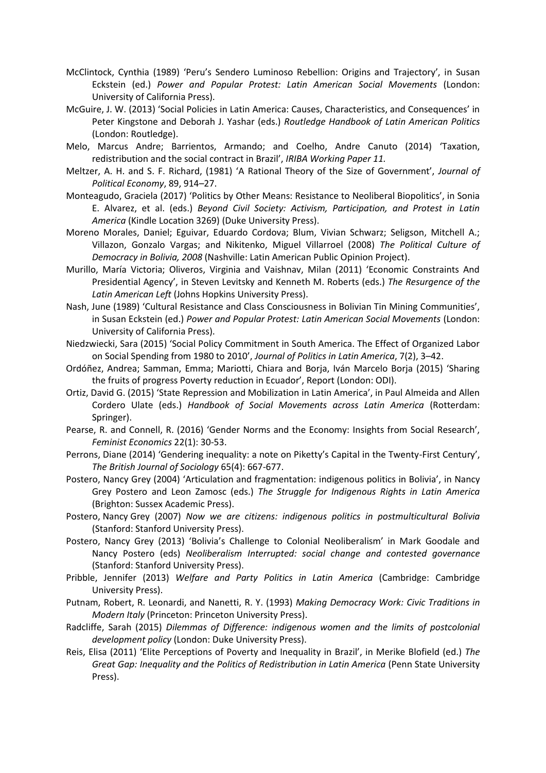- McClintock, Cynthia (1989) 'Peru's Sendero Luminoso Rebellion: Origins and Trajectory', in Susan Eckstein (ed.) *Power and Popular Protest: Latin American Social Movements* (London: University of California Press).
- McGuire, J. W. (2013) 'Social Policies in Latin America: Causes, Characteristics, and Consequences' in Peter Kingstone and Deborah J. Yashar (eds.) *Routledge Handbook of Latin American Politics*  (London: Routledge).
- Melo, Marcus Andre; Barrientos, Armando; and Coelho, Andre Canuto (2014) 'Taxation, redistribution and the social contract in Brazil', *IRIBA Working Paper 11.*
- Meltzer, A. H. and S. F. Richard, (1981) 'A Rational Theory of the Size of Government', *Journal of Political Economy*, 89, 914–27.
- Monteagudo, Graciela (2017) 'Politics by Other Means: Resistance to Neoliberal Biopolitics', in Sonia E. Alvarez, et al. (eds.) *Beyond Civil Society: Activism, Participation, and Protest in Latin America* (Kindle Location 3269) (Duke University Press).
- Moreno Morales, Daniel; Eguivar, Eduardo Cordova; Blum, Vivian Schwarz; Seligson, Mitchell A.; Villazon, Gonzalo Vargas; and Nikitenko, Miguel Villarroel (2008) *The Political Culture of Democracy in Bolivia, 2008* (Nashville: Latin American Public Opinion Project).
- Murillo, María Victoria; Oliveros, Virginia and Vaishnav, Milan (2011) 'Economic Constraints And Presidential Agency', in Steven Levitsky and Kenneth M. Roberts (eds.) *The Resurgence of the Latin American Left* (Johns Hopkins University Press).
- Nash, June (1989) 'Cultural Resistance and Class Consciousness in Bolivian Tin Mining Communities', in Susan Eckstein (ed.) *Power and Popular Protest: Latin American Social Movements* (London: University of California Press).
- Niedzwiecki, Sara (2015) 'Social Policy Commitment in South America. The Effect of Organized Labor on Social Spending from 1980 to 2010', *Journal of Politics in Latin America*, 7(2), 3–42.
- Ordóñez, Andrea; Samman, Emma; Mariotti, Chiara and Borja, Iván Marcelo Borja (2015) 'Sharing the fruits of progress Poverty reduction in Ecuador', Report (London: ODI).
- Ortiz, David G. (2015) 'State Repression and Mobilization in Latin America', in Paul Almeida and Allen Cordero Ulate (eds.) *Handbook of Social Movements across Latin America* (Rotterdam: Springer).
- Pearse, R. and Connell, R. (2016) 'Gender Norms and the Economy: Insights from Social Research', *Feminist Economics* 22(1): 30-53.
- Perrons, Diane (2014) 'Gendering inequality: a note on Piketty's Capital in the Twenty-First Century', *The British Journal of Sociology* 65(4): 667-677.
- Postero, Nancy Grey (2004) 'Articulation and fragmentation: indigenous politics in Bolivia', in Nancy Grey Postero and Leon Zamosc (eds.) *The Struggle for Indigenous Rights in Latin America*  (Brighton: Sussex Academic Press).
- Postero, Nancy [Grey \(2007\)](javascript:ABLFrame.Search() *Now [we are citizens: indigenous politics in postmulticultural Bolivia](http://search.lib.cam.ac.uk/?itemid=|cambrdgedb|4349544)*  [\(S](http://search.lib.cam.ac.uk/?itemid=|cambrdgedb|4349544)tanford: Stanford University Press).
- Postero, Nancy Grey (2013) 'Bolivia's Challenge to Colonial Neoliberalism' in Mark Goodale and Nancy Postero (eds) *Neoliberalism Interrupted: social change and contested governance*  (Stanford: Stanford University Press).
- Pribble, Jennifer (2013) *Welfare and Party Politics in Latin America* (Cambridge: Cambridge University Press).
- Putnam, Robert, R. Leonardi, and Nanetti, R. Y. (1993) *Making Democracy Work: Civic Traditions in Modern Italy* (Princeton: Princeton University Press).
- Radcliffe, Sarah (2015) *Dilemmas of Difference: indigenous women and the limits of postcolonial development policy* (London: Duke University Press).
- Reis, Elisa (2011) 'Elite Perceptions of Poverty and Inequality in Brazil', in Merike Blofield (ed.) *The Great Gap: Inequality and the Politics of Redistribution in Latin America (Penn State University* Press).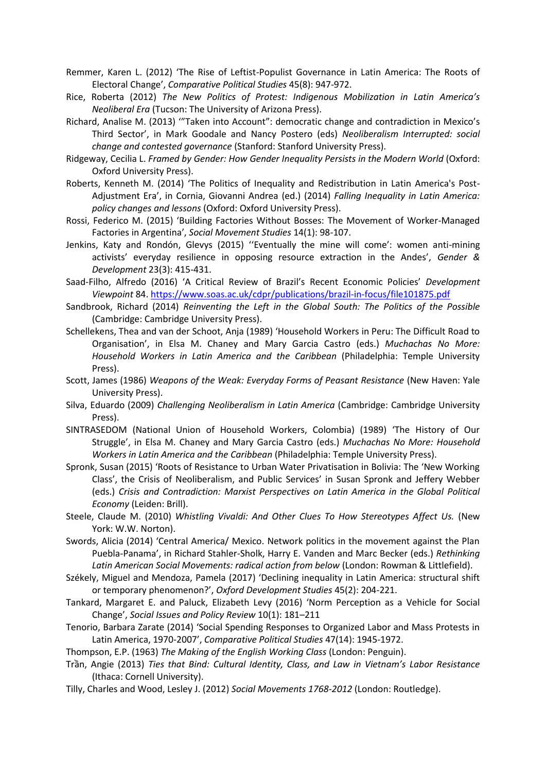- Remmer, Karen L. (2012) 'The Rise of Leftist-Populist Governance in Latin America: The Roots of Electoral Change', *Comparative Political Studies* 45(8): 947-972.
- Rice, Roberta (2012) *The New Politics of Protest: Indigenous Mobilization in Latin America's Neoliberal Era* (Tucson: The University of Arizona Press).
- Richard, Analise M. (2013) '"Taken into Account": democratic change and contradiction in Mexico's Third Sector', in Mark Goodale and Nancy Postero (eds) *Neoliberalism Interrupted: social change and contested governance* (Stanford: Stanford University Press).
- Ridgeway, Cecilia L. *Framed by Gender: How Gender Inequality Persists in the Modern World* (Oxford: Oxford University Press).
- Roberts, Kenneth M. (2014) 'The Politics of Inequality and Redistribution in Latin America's Post-Adjustment Era', in Cornia, Giovanni Andrea (ed.) (2014) *Falling Inequality in Latin America: policy changes and lessons* (Oxford: Oxford University Press).
- Rossi, Federico M. (2015) 'Building Factories Without Bosses: The Movement of Worker-Managed Factories in Argentina', *Social Movement Studies* 14(1): 98-107.
- Jenkins, Katy and Rondón, Glevys (2015) ''Eventually the mine will come': women anti-mining activists' everyday resilience in opposing resource extraction in the Andes', *Gender & Development* 23(3): 415-431.
- Saad-Filho, Alfredo (2016) 'A Critical Review of Brazil's Recent Economic Policies' *Development Viewpoint* 84.<https://www.soas.ac.uk/cdpr/publications/brazil-in-focus/file101875.pdf>
- Sandbrook, Richard (2014) *Reinventing the Left in the Global South: The Politics of the Possible*  (Cambridge: Cambridge University Press).
- Schellekens, Thea and van der Schoot, Anja (1989) 'Household Workers in Peru: The Difficult Road to Organisation', in Elsa M. Chaney and Mary Garcia Castro (eds.) *Muchachas No More: Household Workers in Latin America and the Caribbean* (Philadelphia: Temple University Press).
- Scott, James (1986) *Weapons of the Weak: Everyday Forms of Peasant Resistance* (New Haven: Yale University Press).
- Silva, Eduardo (2009) *Challenging Neoliberalism in Latin America* (Cambridge: Cambridge University Press).
- SINTRASEDOM (National Union of Household Workers, Colombia) (1989) 'The History of Our Struggle', in Elsa M. Chaney and Mary Garcia Castro (eds.) *Muchachas No More: Household Workers in Latin America and the Caribbean* (Philadelphia: Temple University Press).
- Spronk, Susan (2015) 'Roots of Resistance to Urban Water Privatisation in Bolivia: The 'New Working Class', the Crisis of Neoliberalism, and Public Services' in Susan Spronk and Jeffery Webber (eds.) *Crisis and Contradiction: Marxist Perspectives on Latin America in the Global Political Economy* (Leiden: Brill).
- Steele, Claude M. (2010) *Whistling Vivaldi: And Other Clues To How Stereotypes Affect Us.* (New York: W.W. Norton).
- Swords, Alicia (2014) 'Central America/ Mexico. Network politics in the movement against the Plan Puebla-Panama', in Richard Stahler-Sholk, Harry E. Vanden and Marc Becker (eds.) *Rethinking Latin American Social Movements: radical action from below* (London: Rowman & Littlefield).
- Székely, Miguel and Mendoza, Pamela (2017) 'Declining inequality in Latin America: structural shift or temporary phenomenon?', *Oxford Development Studies* 45(2): 204-221.
- Tankard, Margaret E. and Paluck, Elizabeth Levy (2016) 'Norm Perception as a Vehicle for Social Change', *Social Issues and Policy Review* 10(1): 181–211
- Tenorio, Barbara Zarate (2014) 'Social Spending Responses to Organized Labor and Mass Protests in Latin America, 1970-2007', *Comparative Political Studies* 47(14): 1945-1972.

Thompson, E.P. (1963) *The Making of the English Working Class* (London: Penguin).

- Trần, Angie (2013) *Ties that Bind: Cultural Identity, Class, and Law in Vietnam's Labor Resistance* (Ithaca: Cornell University).
- Tilly, Charles and Wood, Lesley J. (2012) *Social Movements 1768-2012* (London: Routledge).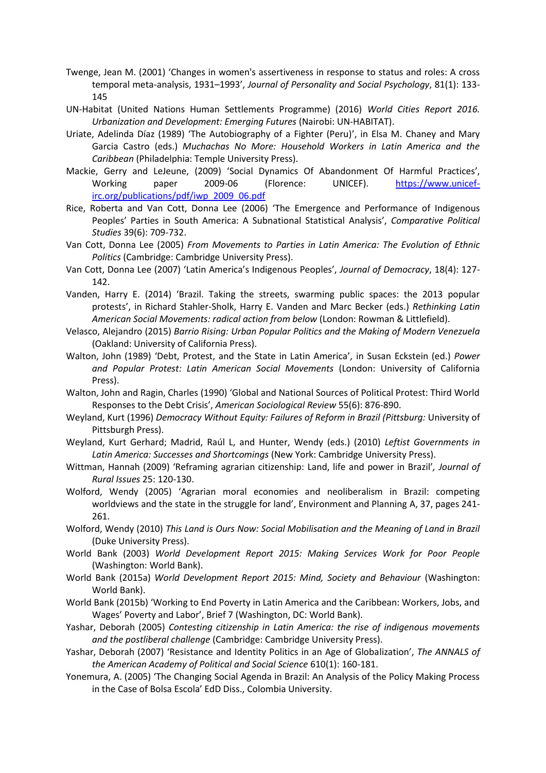- Twenge, Jean M. (2001) 'Changes in women's assertiveness in response to status and roles: A cross temporal meta-analysis, 1931–1993', *Journal of Personality and Social Psychology*, 81(1): 133- 145
- UN-Habitat (United Nations Human Settlements Programme) (2016) *World Cities Report 2016. Urbanization and Development: Emerging Futures* (Nairobi: UN-HABITAT).
- Uriate, Adelinda Díaz (1989) 'The Autobiography of a Fighter (Peru)', in Elsa M. Chaney and Mary Garcia Castro (eds.) *Muchachas No More: Household Workers in Latin America and the Caribbean* (Philadelphia: Temple University Press).
- Mackie, Gerry and LeJeune, (2009) 'Social Dynamics Of Abandonment Of Harmful Practices', Working paper 2009-06 (Florence: UNICEF). [https://www.unicef](https://www.unicef-irc.org/publications/pdf/iwp_2009_06.pdf)[irc.org/publications/pdf/iwp\\_2009\\_06.pdf](https://www.unicef-irc.org/publications/pdf/iwp_2009_06.pdf)
- Rice, Roberta and Van Cott, Donna Lee (2006) 'The Emergence and Performance of Indigenous Peoples' Parties in South America: A Subnational Statistical Analysis', *Comparative Political Studies* 39(6): 709-732.
- Van Cott, Donna Lee (2005) *From Movements to Parties in Latin America: The Evolution of Ethnic Politics* (Cambridge: Cambridge University Press).
- Van Cott, Donna Lee (2007) 'Latin America's Indigenous Peoples', *Journal of Democracy*, 18(4): 127- 142.
- Vanden, Harry E. (2014) 'Brazil. Taking the streets, swarming public spaces: the 2013 popular protests', in Richard Stahler-Sholk, Harry E. Vanden and Marc Becker (eds.) *Rethinking Latin American Social Movements: radical action from below* (London: Rowman & Littlefield).
- Velasco, Alejandro (2015) *Barrio Rising: Urban Popular Politics and the Making of Modern Venezuela*  (Oakland: University of California Press).
- Walton, John (1989) 'Debt, Protest, and the State in Latin America', in Susan Eckstein (ed.) *Power and Popular Protest: Latin American Social Movements* (London: University of California Press).
- Walton, John and Ragin, Charles (1990) 'Global and National Sources of Political Protest: Third World Responses to the Debt Crisis', *American Sociological Review* 55(6): 876-890.
- Weyland, Kurt (1996) *Democracy Without Equity: Failures of Reform in Brazil (Pittsburg:* University of Pittsburgh Press).
- Weyland, Kurt Gerhard; Madrid, Raúl L, and Hunter, Wendy (eds.) (2010) *Leftist Governments in Latin America: Successes and Shortcomings* (New York: Cambridge University Press).
- Wittman, Hannah (2009) 'Reframing agrarian citizenship: Land, life and power in Brazil'*, Journal of Rural Issues* 25: 120-130.
- Wolford, Wendy (2005) 'Agrarian moral economies and neoliberalism in Brazil: competing worldviews and the state in the struggle for land', Environment and Planning A, 37, pages 241- 261.
- Wolford, Wendy (2010) *This Land is Ours Now: Social Mobilisation and the Meaning of Land in Brazil*  (Duke University Press).
- World Bank (2003) *World Development Report 2015: Making Services Work for Poor People*  (Washington: World Bank).
- World Bank (2015a) *World Development Report 2015: Mind, Society and Behaviour* (Washington: World Bank).
- World Bank (2015b) 'Working to End Poverty in Latin America and the Caribbean: Workers, Jobs, and Wages' Poverty and Labor', Brief 7 (Washington, DC: World Bank).
- Yashar, Deborah (2005) *Contesting citizenship in Latin America: the rise of indigenous movements and the postliberal challenge* (Cambridge: Cambridge University Press).
- Yashar, Deborah (2007) 'Resistance and Identity Politics in an Age of Globalization', *The ANNALS of the American Academy of Political and Social Science* 610(1): 160-181.
- Yonemura, A. (2005) 'The Changing Social Agenda in Brazil: An Analysis of the Policy Making Process in the Case of Bolsa Escola' EdD Diss., Colombia University.